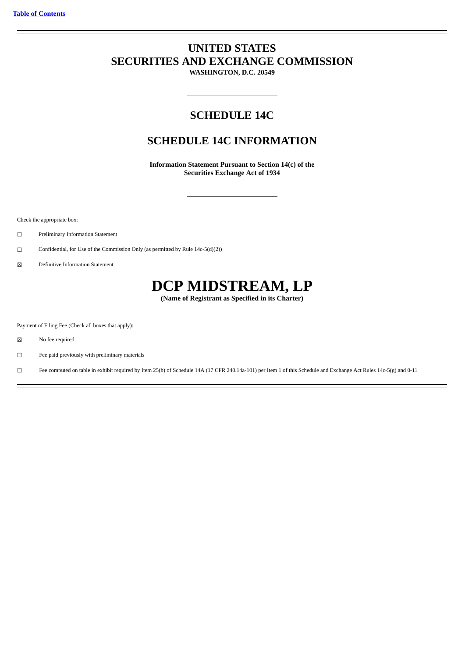# **UNITED STATES SECURITIES AND EXCHANGE COMMISSION**

**WASHINGTON, D.C. 20549**

# **SCHEDULE 14C**

# **SCHEDULE 14C INFORMATION**

**Information Statement Pursuant to Section 14(c) of the Securities Exchange Act of 1934**

Check the appropriate box:

☐ Preliminary Information Statement

□ Confidential, for Use of the Commission Only (as permitted by Rule 14c-5(d)(2))

☒ Definitive Information Statement

# **DCP MIDSTREAM, LP**

**(Name of Registrant as Specified in its Charter)**

Payment of Filing Fee (Check all boxes that apply):

☒ No fee required.

☐ Fee paid previously with preliminary materials

☐ Fee computed on table in exhibit required by Item 25(b) of Schedule 14A (17 CFR 240.14a-101) per Item 1 of this Schedule and Exchange Act Rules 14c-5(g) and 0-11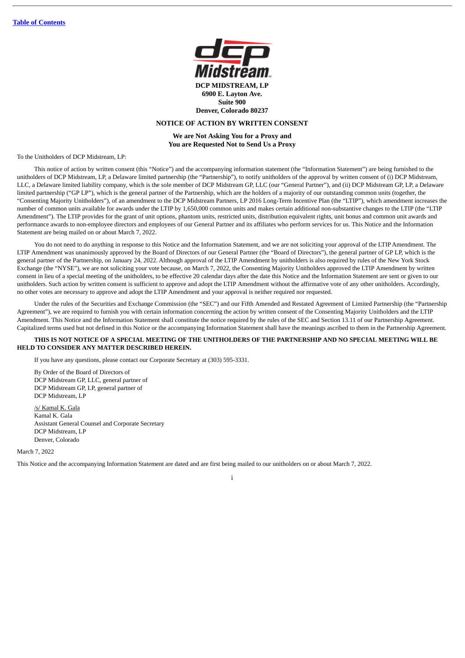

# **NOTICE OF ACTION BY WRITTEN CONSENT**

**We are Not Asking You for a Proxy and You are Requested Not to Send Us a Proxy**

To the Unitholders of DCP Midstream, LP.

This notice of action by written consent (this "Notice") and the accompanying information statement (the "Information Statement") are being furnished to the unitholders of DCP Midstream, LP, a Delaware limited partnership (the "Partnership"), to notify unitholders of the approval by written consent of (i) DCP Midstream, LLC, a Delaware limited liability company, which is the sole member of DCP Midstream GP, LLC (our "General Partner"), and (ii) DCP Midstream GP, LP, a Delaware limited partnership ("GP LP"), which is the general partner of the Partnership, which are the holders of a majority of our outstanding common units (together, the "Consenting Majority Unitholders"), of an amendment to the DCP Midstream Partners, LP 2016 Long-Term Incentive Plan (the "LTIP"), which amendment increases the number of common units available for awards under the LTIP by 1,650,000 common units and makes certain additional non-substantive changes to the LTIP (the "LTIP Amendment"). The LTIP provides for the grant of unit options, phantom units, restricted units, distribution equivalent rights, unit bonus and common unit awards and performance awards to non-employee directors and employees of our General Partner and its affiliates who perform services for us. This Notice and the Information Statement are being mailed on or about March 7, 2022.

You do not need to do anything in response to this Notice and the Information Statement, and we are not soliciting your approval of the LTIP Amendment. The LTIP Amendment was unanimously approved by the Board of Directors of our General Partner (the "Board of Directors"), the general partner of GP LP, which is the general partner of the Partnership, on January 24, 2022. Although approval of the LTIP Amendment by unitholders is also required by rules of the New York Stock Exchange (the "NYSE"), we are not soliciting your vote because, on March 7, 2022, the Consenting Majority Unitholders approved the LTIP Amendment by written consent in lieu of a special meeting of the unitholders, to be effective 20 calendar days after the date this Notice and the Information Statement are sent or given to our unitholders. Such action by written consent is sufficient to approve and adopt the LTIP Amendment without the affirmative vote of any other unitholders. Accordingly, no other votes are necessary to approve and adopt the LTIP Amendment and your approval is neither required nor requested.

Under the rules of the Securities and Exchange Commission (the "SEC") and our Fifth Amended and Restated Agreement of Limited Partnership (the "Partnership Agreement"), we are required to furnish you with certain information concerning the action by written consent of the Consenting Majority Unitholders and the LTIP Amendment. This Notice and the Information Statement shall constitute the notice required by the rules of the SEC and Section 13.11 of our Partnership Agreement. Capitalized terms used but not defined in this Notice or the accompanying Information Statement shall have the meanings ascribed to them in the Partnership Agreement.

#### **THIS IS NOT NOTICE OF A SPECIAL MEETING OF THE UNITHOLDERS OF THE PARTNERSHIP AND NO SPECIAL MEETING WILL BE HELD TO CONSIDER ANY MATTER DESCRIBED HEREIN.**

If you have any questions, please contact our Corporate Secretary at (303) 595-3331.

By Order of the Board of Directors of DCP Midstream GP, LLC, general partner of DCP Midstream GP, LP, general partner of DCP Midstream, LP

/s/ Kamal K. Gala Kamal K. Gala Assistant General Counsel and Corporate Secretary DCP Midstream, LP Denver, Colorado

March 7, 2022

This Notice and the accompanying Information Statement are dated and are first being mailed to our unitholders on or about March 7, 2022.

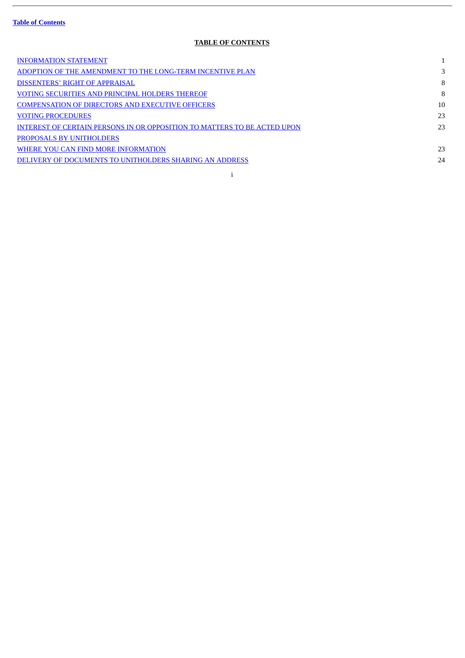$\overline{a}$ 

# **TABLE OF CONTENTS**

<span id="page-2-0"></span>

| <b>INFORMATION STATEMENT</b>                                             |    |
|--------------------------------------------------------------------------|----|
| ADOPTION OF THE AMENDMENT TO THE LONG-TERM INCENTIVE PLAN                | 3  |
| DISSENTERS' RIGHT OF APPRAISAL                                           | 8  |
| VOTING SECURITIES AND PRINCIPAL HOLDERS THEREOF                          | 8  |
| <b>COMPENSATION OF DIRECTORS AND EXECUTIVE OFFICERS</b>                  | 10 |
| <b>VOTING PROCEDURES</b>                                                 | 23 |
| INTEREST OF CERTAIN PERSONS IN OR OPPOSITION TO MATTERS TO BE ACTED UPON | 23 |
| <b>PROPOSALS BY UNITHOLDERS</b>                                          |    |
| WHERE YOU CAN FIND MORE INFORMATION                                      | 23 |
| DELIVERY OF DOCUMENTS TO UNITHOLDERS SHARING AN ADDRESS                  | 24 |
|                                                                          |    |

i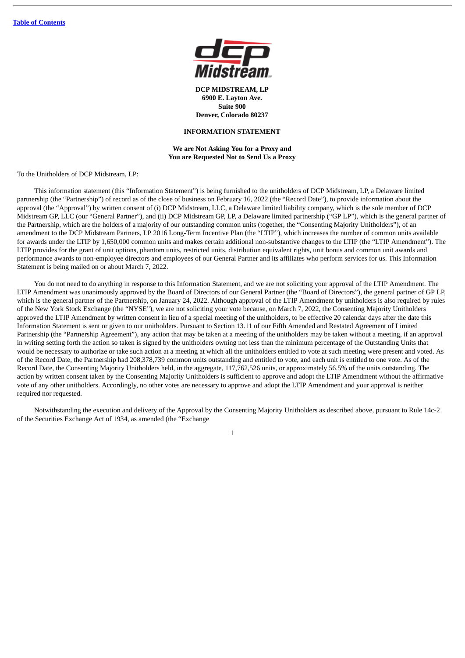

**DCP MIDSTREAM, LP 6900 E. Layton Ave. Suite 900 Denver, Colorado 80237**

# **INFORMATION STATEMENT**

# **We are Not Asking You for a Proxy and You are Requested Not to Send Us a Proxy**

<span id="page-3-0"></span>To the Unitholders of DCP Midstream, LP:

This information statement (this "Information Statement") is being furnished to the unitholders of DCP Midstream, LP, a Delaware limited partnership (the "Partnership") of record as of the close of business on February 16, 2022 (the "Record Date"), to provide information about the approval (the "Approval") by written consent of (i) DCP Midstream, LLC, a Delaware limited liability company, which is the sole member of DCP Midstream GP, LLC (our "General Partner"), and (ii) DCP Midstream GP, LP, a Delaware limited partnership ("GP LP"), which is the general partner of the Partnership, which are the holders of a majority of our outstanding common units (together, the "Consenting Majority Unitholders"), of an amendment to the DCP Midstream Partners, LP 2016 Long-Term Incentive Plan (the "LTIP"), which increases the number of common units available for awards under the LTIP by 1,650,000 common units and makes certain additional non-substantive changes to the LTIP (the "LTIP Amendment"). The LTIP provides for the grant of unit options, phantom units, restricted units, distribution equivalent rights, unit bonus and common unit awards and performance awards to non-employee directors and employees of our General Partner and its affiliates who perform services for us. This Information Statement is being mailed on or about March 7, 2022.

You do not need to do anything in response to this Information Statement, and we are not soliciting your approval of the LTIP Amendment. The LTIP Amendment was unanimously approved by the Board of Directors of our General Partner (the "Board of Directors"), the general partner of GP LP, which is the general partner of the Partnership, on January 24, 2022. Although approval of the LTIP Amendment by unitholders is also required by rules of the New York Stock Exchange (the "NYSE"), we are not soliciting your vote because, on March 7, 2022, the Consenting Majority Unitholders approved the LTIP Amendment by written consent in lieu of a special meeting of the unitholders, to be effective 20 calendar days after the date this Information Statement is sent or given to our unitholders. Pursuant to Section 13.11 of our Fifth Amended and Restated Agreement of Limited Partnership (the "Partnership Agreement"), any action that may be taken at a meeting of the unitholders may be taken without a meeting, if an approval in writing setting forth the action so taken is signed by the unitholders owning not less than the minimum percentage of the Outstanding Units that would be necessary to authorize or take such action at a meeting at which all the unitholders entitled to vote at such meeting were present and voted. As of the Record Date, the Partnership had 208,378,739 common units outstanding and entitled to vote, and each unit is entitled to one vote. As of the Record Date, the Consenting Majority Unitholders held, in the aggregate, 117,762,526 units, or approximately 56.5% of the units outstanding. The action by written consent taken by the Consenting Majority Unitholders is sufficient to approve and adopt the LTIP Amendment without the affirmative vote of any other unitholders. Accordingly, no other votes are necessary to approve and adopt the LTIP Amendment and your approval is neither required nor requested.

Notwithstanding the execution and delivery of the Approval by the Consenting Majority Unitholders as described above, pursuant to Rule 14c-2 of the Securities Exchange Act of 1934, as amended (the "Exchange

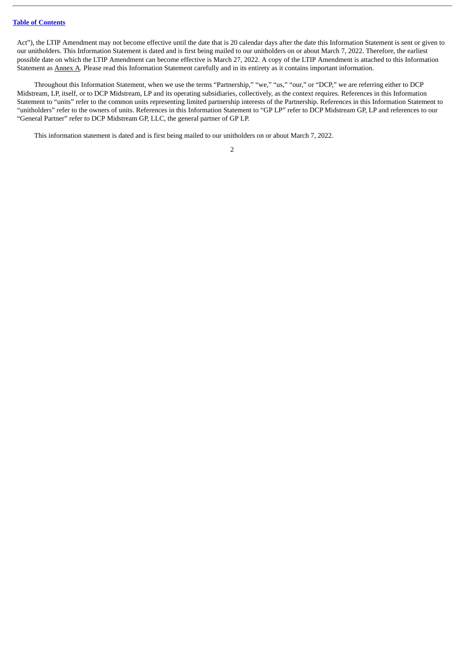Act"), the LTIP Amendment may not become effective until the date that is 20 calendar days after the date this Information Statement is sent or given to our unitholders. This Information Statement is dated and is first being mailed to our unitholders on or about March 7, 2022. Therefore, the earliest possible date on which the LTIP Amendment can become effective is March 27, 2022. A copy of the LTIP Amendment is attached to this Information Statement as Annex A. Please read this Information Statement carefully and in its entirety as it contains important information.

Throughout this Information Statement, when we use the terms "Partnership," "we," "us," "our," or "DCP," we are referring either to DCP Midstream, LP, itself, or to DCP Midstream, LP and its operating subsidiaries, collectively, as the context requires. References in this Information Statement to "units" refer to the common units representing limited partnership interests of the Partnership. References in this Information Statement to "unitholders" refer to the owners of units. References in this Information Statement to "GP LP" refer to DCP Midstream GP, LP and references to our "General Partner" refer to DCP Midstream GP, LLC, the general partner of GP LP.

This information statement is dated and is first being mailed to our unitholders on or about March 7, 2022.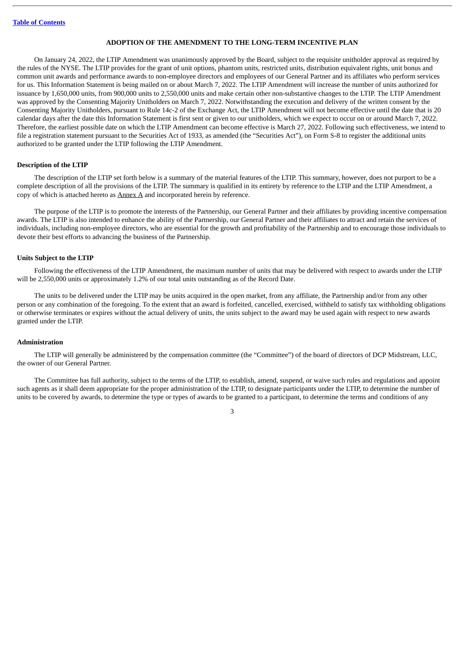#### **ADOPTION OF THE AMENDMENT TO THE LONG-TERM INCENTIVE PLAN**

<span id="page-5-0"></span>On January 24, 2022, the LTIP Amendment was unanimously approved by the Board, subject to the requisite unitholder approval as required by the rules of the NYSE. The LTIP provides for the grant of unit options, phantom units, restricted units, distribution equivalent rights, unit bonus and common unit awards and performance awards to non-employee directors and employees of our General Partner and its affiliates who perform services for us. This Information Statement is being mailed on or about March 7, 2022. The LTIP Amendment will increase the number of units authorized for issuance by 1,650,000 units, from 900,000 units to 2,550,000 units and make certain other non-substantive changes to the LTIP. The LTIP Amendment was approved by the Consenting Majority Unitholders on March 7, 2022. Notwithstanding the execution and delivery of the written consent by the Consenting Majority Unitholders, pursuant to Rule 14c-2 of the Exchange Act, the LTIP Amendment will not become effective until the date that is 20 calendar days after the date this Information Statement is first sent or given to our unitholders, which we expect to occur on or around March 7, 2022. Therefore, the earliest possible date on which the LTIP Amendment can become effective is March 27, 2022. Following such effectiveness, we intend to file a registration statement pursuant to the Securities Act of 1933, as amended (the "Securities Act"), on Form S-8 to register the additional units authorized to be granted under the LTIP following the LTIP Amendment.

# **Description of the LTIP**

The description of the LTIP set forth below is a summary of the material features of the LTIP. This summary, however, does not purport to be a complete description of all the provisions of the LTIP. The summary is qualified in its entirety by reference to the LTIP and the LTIP Amendment, a copy of which is attached hereto as  $\frac{\text{Annex A}}{\text{Annex A}}$  and incorporated herein by reference.

The purpose of the LTIP is to promote the interests of the Partnership, our General Partner and their affiliates by providing incentive compensation awards. The LTIP is also intended to enhance the ability of the Partnership, our General Partner and their affiliates to attract and retain the services of individuals, including non-employee directors, who are essential for the growth and profitability of the Partnership and to encourage those individuals to devote their best efforts to advancing the business of the Partnership.

# **Units Subject to the LTIP**

Following the effectiveness of the LTIP Amendment, the maximum number of units that may be delivered with respect to awards under the LTIP will be 2,550,000 units or approximately 1.2% of our total units outstanding as of the Record Date.

The units to be delivered under the LTIP may be units acquired in the open market, from any affiliate, the Partnership and/or from any other person or any combination of the foregoing. To the extent that an award is forfeited, cancelled, exercised, withheld to satisfy tax withholding obligations or otherwise terminates or expires without the actual delivery of units, the units subject to the award may be used again with respect to new awards granted under the LTIP.

#### **Administration**

The LTIP will generally be administered by the compensation committee (the "Committee") of the board of directors of DCP Midstream, LLC, the owner of our General Partner.

The Committee has full authority, subject to the terms of the LTIP, to establish, amend, suspend, or waive such rules and regulations and appoint such agents as it shall deem appropriate for the proper administration of the LTIP, to designate participants under the LTIP, to determine the number of units to be covered by awards, to determine the type or types of awards to be granted to a participant, to determine the terms and conditions of any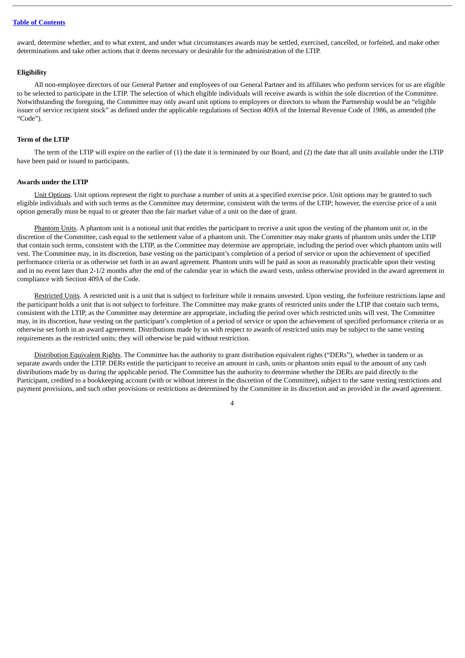award, determine whether, and to what extent, and under what circumstances awards may be settled, exercised, cancelled, or forfeited, and make other determinations and take other actions that it deems necessary or desirable for the administration of the LTIP.

#### **Eligibility**

All non-employee directors of our General Partner and employees of our General Partner and its affiliates who perform services for us are eligible to be selected to participate in the LTIP. The selection of which eligible individuals will receive awards is within the sole discretion of the Committee. Notwithstanding the foregoing, the Committee may only award unit options to employees or directors to whom the Partnership would be an "eligible issuer of service recipient stock" as defined under the applicable regulations of Section 409A of the Internal Revenue Code of 1986, as amended (the "Code").

#### **Term of the LTIP**

The term of the LTIP will expire on the earlier of (1) the date it is terminated by our Board, and (2) the date that all units available under the LTIP have been paid or issued to participants.

#### **Awards under the LTIP**

Unit Options. Unit options represent the right to purchase a number of units at a specified exercise price. Unit options may be granted to such eligible individuals and with such terms as the Committee may determine, consistent with the terms of the LTIP; however, the exercise price of a unit option generally must be equal to or greater than the fair market value of a unit on the date of grant.

Phantom Units. A phantom unit is a notional unit that entitles the participant to receive a unit upon the vesting of the phantom unit or, in the discretion of the Committee, cash equal to the settlement value of a phantom unit. The Committee may make grants of phantom units under the LTIP that contain such terms, consistent with the LTIP, as the Committee may determine are appropriate, including the period over which phantom units will vest. The Committee may, in its discretion, base vesting on the participant's completion of a period of service or upon the achievement of specified performance criteria or as otherwise set forth in an award agreement. Phantom units will be paid as soon as reasonably practicable upon their vesting and in no event later than 2-1/2 months after the end of the calendar year in which the award vests, unless otherwise provided in the award agreement in compliance with Section 409A of the Code.

Restricted Units. A restricted unit is a unit that is subject to forfeiture while it remains unvested. Upon vesting, the forfeiture restrictions lapse and the participant holds a unit that is not subject to forfeiture. The Committee may make grants of restricted units under the LTIP that contain such terms, consistent with the LTIP, as the Committee may determine are appropriate, including the period over which restricted units will vest. The Committee may, in its discretion, base vesting on the participant's completion of a period of service or upon the achievement of specified performance criteria or as otherwise set forth in an award agreement. Distributions made by us with respect to awards of restricted units may be subject to the same vesting requirements as the restricted units; they will otherwise be paid without restriction.

Distribution Equivalent Rights. The Committee has the authority to grant distribution equivalent rights ("DERs"), whether in tandem or as separate awards under the LTIP. DERs entitle the participant to receive an amount in cash, units or phantom units equal to the amount of any cash distributions made by us during the applicable period. The Committee has the authority to determine whether the DERs are paid directly to the Participant, credited to a bookkeeping account (with or without interest in the discretion of the Committee), subject to the same vesting restrictions and payment provisions, and such other provisions or restrictions as determined by the Committee in its discretion and as provided in the award agreement.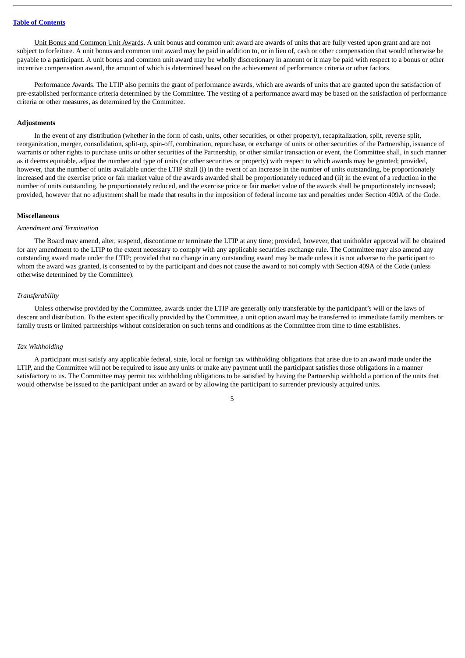Unit Bonus and Common Unit Awards. A unit bonus and common unit award are awards of units that are fully vested upon grant and are not subject to forfeiture. A unit bonus and common unit award may be paid in addition to, or in lieu of, cash or other compensation that would otherwise be payable to a participant. A unit bonus and common unit award may be wholly discretionary in amount or it may be paid with respect to a bonus or other incentive compensation award, the amount of which is determined based on the achievement of performance criteria or other factors.

Performance Awards. The LTIP also permits the grant of performance awards, which are awards of units that are granted upon the satisfaction of pre-established performance criteria determined by the Committee. The vesting of a performance award may be based on the satisfaction of performance criteria or other measures, as determined by the Committee.

# **Adjustments**

In the event of any distribution (whether in the form of cash, units, other securities, or other property), recapitalization, split, reverse split, reorganization, merger, consolidation, split-up, spin-off, combination, repurchase, or exchange of units or other securities of the Partnership, issuance of warrants or other rights to purchase units or other securities of the Partnership, or other similar transaction or event, the Committee shall, in such manner as it deems equitable, adjust the number and type of units (or other securities or property) with respect to which awards may be granted; provided, however, that the number of units available under the LTIP shall (i) in the event of an increase in the number of units outstanding, be proportionately increased and the exercise price or fair market value of the awards awarded shall be proportionately reduced and (ii) in the event of a reduction in the number of units outstanding, be proportionately reduced, and the exercise price or fair market value of the awards shall be proportionately increased; provided, however that no adjustment shall be made that results in the imposition of federal income tax and penalties under Section 409A of the Code.

#### **Miscellaneous**

#### *Amendment and Termination*

The Board may amend, alter, suspend, discontinue or terminate the LTIP at any time; provided, however, that unitholder approval will be obtained for any amendment to the LTIP to the extent necessary to comply with any applicable securities exchange rule. The Committee may also amend any outstanding award made under the LTIP; provided that no change in any outstanding award may be made unless it is not adverse to the participant to whom the award was granted, is consented to by the participant and does not cause the award to not comply with Section 409A of the Code (unless otherwise determined by the Committee).

#### *Transferability*

Unless otherwise provided by the Committee, awards under the LTIP are generally only transferable by the participant's will or the laws of descent and distribution. To the extent specifically provided by the Committee, a unit option award may be transferred to immediate family members or family trusts or limited partnerships without consideration on such terms and conditions as the Committee from time to time establishes.

## *Tax Withholding*

A participant must satisfy any applicable federal, state, local or foreign tax withholding obligations that arise due to an award made under the LTIP, and the Committee will not be required to issue any units or make any payment until the participant satisfies those obligations in a manner satisfactory to us. The Committee may permit tax withholding obligations to be satisfied by having the Partnership withhold a portion of the units that would otherwise be issued to the participant under an award or by allowing the participant to surrender previously acquired units.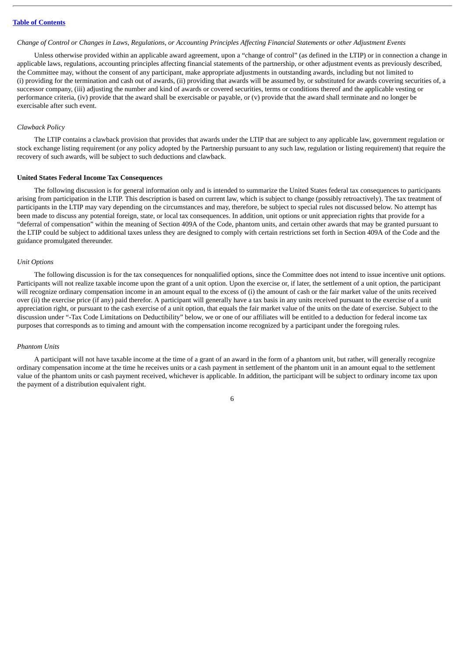#### Change of Control or Changes in Laws, Regulations, or Accounting Principles Affecting Financial Statements or other Adjustment Events

Unless otherwise provided within an applicable award agreement, upon a "change of control" (as defined in the LTIP) or in connection a change in applicable laws, regulations, accounting principles affecting financial statements of the partnership, or other adjustment events as previously described, the Committee may, without the consent of any participant, make appropriate adjustments in outstanding awards, including but not limited to (i) providing for the termination and cash out of awards, (ii) providing that awards will be assumed by, or substituted for awards covering securities of, a successor company, (iii) adjusting the number and kind of awards or covered securities, terms or conditions thereof and the applicable vesting or performance criteria, (iv) provide that the award shall be exercisable or payable, or (v) provide that the award shall terminate and no longer be exercisable after such event.

# *Clawback Policy*

The LTIP contains a clawback provision that provides that awards under the LTIP that are subject to any applicable law, government regulation or stock exchange listing requirement (or any policy adopted by the Partnership pursuant to any such law, regulation or listing requirement) that require the recovery of such awards, will be subject to such deductions and clawback.

#### **United States Federal Income Tax Consequences**

The following discussion is for general information only and is intended to summarize the United States federal tax consequences to participants arising from participation in the LTIP. This description is based on current law, which is subject to change (possibly retroactively). The tax treatment of participants in the LTIP may vary depending on the circumstances and may, therefore, be subject to special rules not discussed below. No attempt has been made to discuss any potential foreign, state, or local tax consequences. In addition, unit options or unit appreciation rights that provide for a "deferral of compensation" within the meaning of Section 409A of the Code, phantom units, and certain other awards that may be granted pursuant to the LTIP could be subject to additional taxes unless they are designed to comply with certain restrictions set forth in Section 409A of the Code and the guidance promulgated thereunder.

# *Unit Options*

The following discussion is for the tax consequences for nonqualified options, since the Committee does not intend to issue incentive unit options. Participants will not realize taxable income upon the grant of a unit option. Upon the exercise or, if later, the settlement of a unit option, the participant will recognize ordinary compensation income in an amount equal to the excess of (i) the amount of cash or the fair market value of the units received over (ii) the exercise price (if any) paid therefor. A participant will generally have a tax basis in any units received pursuant to the exercise of a unit appreciation right, or pursuant to the cash exercise of a unit option, that equals the fair market value of the units on the date of exercise. Subject to the discussion under "-Tax Code Limitations on Deductibility" below, we or one of our affiliates will be entitled to a deduction for federal income tax purposes that corresponds as to timing and amount with the compensation income recognized by a participant under the foregoing rules.

#### *Phantom Units*

A participant will not have taxable income at the time of a grant of an award in the form of a phantom unit, but rather, will generally recognize ordinary compensation income at the time he receives units or a cash payment in settlement of the phantom unit in an amount equal to the settlement value of the phantom units or cash payment received, whichever is applicable. In addition, the participant will be subject to ordinary income tax upon the payment of a distribution equivalent right.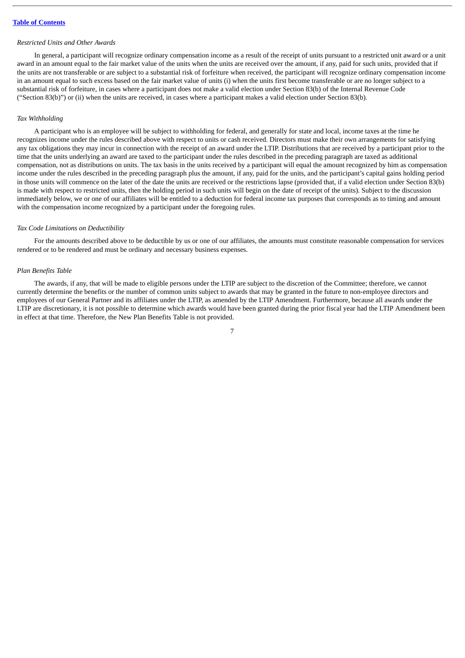## *Restricted Units and Other Awards*

In general, a participant will recognize ordinary compensation income as a result of the receipt of units pursuant to a restricted unit award or a unit award in an amount equal to the fair market value of the units when the units are received over the amount, if any, paid for such units, provided that if the units are not transferable or are subject to a substantial risk of forfeiture when received, the participant will recognize ordinary compensation income in an amount equal to such excess based on the fair market value of units (i) when the units first become transferable or are no longer subject to a substantial risk of forfeiture, in cases where a participant does not make a valid election under Section 83(b) of the Internal Revenue Code ("Section 83(b)") or (ii) when the units are received, in cases where a participant makes a valid election under Section 83(b).

# *Tax Withholding*

A participant who is an employee will be subject to withholding for federal, and generally for state and local, income taxes at the time he recognizes income under the rules described above with respect to units or cash received. Directors must make their own arrangements for satisfying any tax obligations they may incur in connection with the receipt of an award under the LTIP. Distributions that are received by a participant prior to the time that the units underlying an award are taxed to the participant under the rules described in the preceding paragraph are taxed as additional compensation, not as distributions on units. The tax basis in the units received by a participant will equal the amount recognized by him as compensation income under the rules described in the preceding paragraph plus the amount, if any, paid for the units, and the participant's capital gains holding period in those units will commence on the later of the date the units are received or the restrictions lapse (provided that, if a valid election under Section 83(b) is made with respect to restricted units, then the holding period in such units will begin on the date of receipt of the units). Subject to the discussion immediately below, we or one of our affiliates will be entitled to a deduction for federal income tax purposes that corresponds as to timing and amount with the compensation income recognized by a participant under the foregoing rules.

#### *Tax Code Limitations on Deductibility*

For the amounts described above to be deductible by us or one of our affiliates, the amounts must constitute reasonable compensation for services rendered or to be rendered and must be ordinary and necessary business expenses.

#### *Plan Benefits Table*

The awards, if any, that will be made to eligible persons under the LTIP are subject to the discretion of the Committee; therefore, we cannot currently determine the benefits or the number of common units subject to awards that may be granted in the future to non-employee directors and employees of our General Partner and its affiliates under the LTIP, as amended by the LTIP Amendment. Furthermore, because all awards under the LTIP are discretionary, it is not possible to determine which awards would have been granted during the prior fiscal year had the LTIP Amendment been in effect at that time. Therefore, the New Plan Benefits Table is not provided.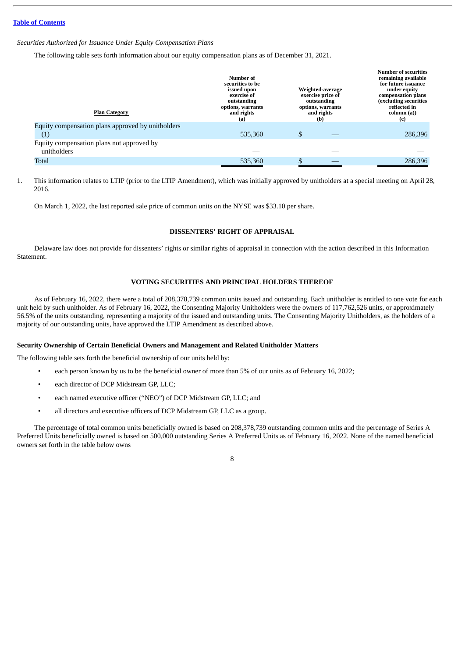#### *Securities Authorized for Issuance Under Equity Compensation Plans*

The following table sets forth information about our equity compensation plans as of December 31, 2021.

| <b>Plan Category</b>                              | Number of<br>securities to be<br>issued upon<br>exercise of<br>outstanding<br>options, warrants<br>and rights<br>(a) | Weighted-average<br>exercise price of<br>outstanding<br>options, warrants<br>and rights<br>(b) | <b>Number of securities</b><br>remaining available<br>for future issuance<br>under equity<br>compensation plans<br>(excluding securities<br>reflected in<br>column (a))<br>(c) |
|---------------------------------------------------|----------------------------------------------------------------------------------------------------------------------|------------------------------------------------------------------------------------------------|--------------------------------------------------------------------------------------------------------------------------------------------------------------------------------|
| Equity compensation plans approved by unitholders |                                                                                                                      |                                                                                                |                                                                                                                                                                                |
| $\left( 1\right)$                                 | 535,360                                                                                                              | \$                                                                                             | 286,396                                                                                                                                                                        |
| Equity compensation plans not approved by         |                                                                                                                      |                                                                                                |                                                                                                                                                                                |
| unitholders                                       |                                                                                                                      |                                                                                                |                                                                                                                                                                                |
| Total                                             | 535,360                                                                                                              |                                                                                                | 286,396                                                                                                                                                                        |
|                                                   |                                                                                                                      |                                                                                                |                                                                                                                                                                                |

1. This information relates to LTIP (prior to the LTIP Amendment), which was initially approved by unitholders at a special meeting on April 28, 2016.

On March 1, 2022, the last reported sale price of common units on the NYSE was \$33.10 per share.

#### **DISSENTERS' RIGHT OF APPRAISAL**

<span id="page-10-0"></span>Delaware law does not provide for dissenters' rights or similar rights of appraisal in connection with the action described in this Information Statement.

#### **VOTING SECURITIES AND PRINCIPAL HOLDERS THEREOF**

<span id="page-10-1"></span>As of February 16, 2022, there were a total of 208,378,739 common units issued and outstanding. Each unitholder is entitled to one vote for each unit held by such unitholder. As of February 16, 2022, the Consenting Majority Unitholders were the owners of 117,762,526 units, or approximately 56.5% of the units outstanding, representing a majority of the issued and outstanding units. The Consenting Majority Unitholders, as the holders of a majority of our outstanding units, have approved the LTIP Amendment as described above.

#### **Security Ownership of Certain Beneficial Owners and Management and Related Unitholder Matters**

The following table sets forth the beneficial ownership of our units held by:

- each person known by us to be the beneficial owner of more than 5% of our units as of February 16, 2022;
- each director of DCP Midstream GP, LLC:
- each named executive officer ("NEO") of DCP Midstream GP, LLC; and
- all directors and executive officers of DCP Midstream GP, LLC as a group.

The percentage of total common units beneficially owned is based on 208,378,739 outstanding common units and the percentage of Series A Preferred Units beneficially owned is based on 500,000 outstanding Series A Preferred Units as of February 16, 2022. None of the named beneficial owners set forth in the table below owns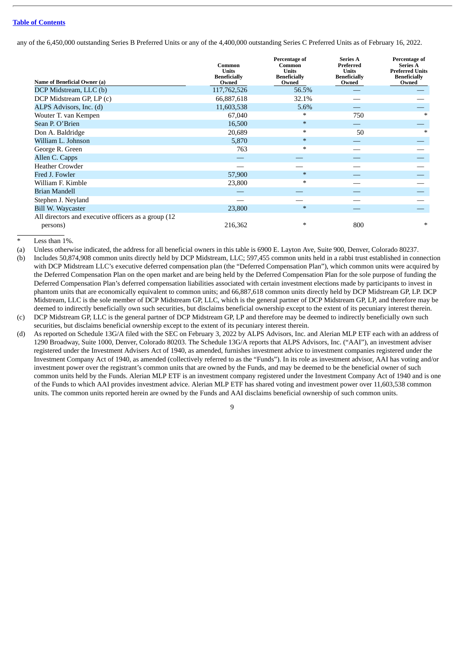any of the 6,450,000 outstanding Series B Preferred Units or any of the 4,400,000 outstanding Series C Preferred Units as of February 16, 2022.

| Name of Beneficial Owner (a)                         | Common<br><b>Units</b><br><b>Beneficially</b><br>Owned | Percentage of<br>Common<br><b>Units</b><br><b>Beneficially</b><br>Owned | <b>Series A</b><br>Preferred<br><b>Units</b><br><b>Beneficially</b><br>Owned | Percentage of<br><b>Series A</b><br><b>Preferred Units</b><br><b>Beneficially</b><br>Owned |
|------------------------------------------------------|--------------------------------------------------------|-------------------------------------------------------------------------|------------------------------------------------------------------------------|--------------------------------------------------------------------------------------------|
| DCP Midstream, LLC (b)                               | 117,762,526                                            | 56.5%                                                                   |                                                                              |                                                                                            |
| DCP Midstream GP, LP (c)                             | 66,887,618                                             | 32.1%                                                                   |                                                                              |                                                                                            |
| ALPS Advisors, Inc. (d)                              | 11,603,538                                             | 5.6%                                                                    |                                                                              |                                                                                            |
| Wouter T. van Kempen                                 | 67,040                                                 | $\ast$                                                                  | 750                                                                          | $\ast$                                                                                     |
| Sean P. O'Brien                                      | 16,500                                                 | $\ast$                                                                  |                                                                              |                                                                                            |
| Don A. Baldridge                                     | 20,689                                                 | $\ast$                                                                  | 50                                                                           | $\ast$                                                                                     |
| William L. Johnson                                   | 5,870                                                  | $\ast$                                                                  |                                                                              |                                                                                            |
| George R. Green                                      | 763                                                    | $\ast$                                                                  |                                                                              |                                                                                            |
| Allen C. Capps                                       |                                                        |                                                                         |                                                                              |                                                                                            |
| <b>Heather Crowder</b>                               |                                                        |                                                                         |                                                                              |                                                                                            |
| Fred J. Fowler                                       | 57,900                                                 | $\ast$                                                                  |                                                                              |                                                                                            |
| William F. Kimble                                    | 23,800                                                 | $\ast$                                                                  |                                                                              |                                                                                            |
| Brian Mandell                                        |                                                        |                                                                         |                                                                              |                                                                                            |
| Stephen J. Neyland                                   |                                                        |                                                                         |                                                                              |                                                                                            |
| <b>Bill W. Waycaster</b>                             | 23,800                                                 | $\ast$                                                                  |                                                                              |                                                                                            |
| All directors and executive officers as a group (12) |                                                        |                                                                         |                                                                              |                                                                                            |
| persons)                                             | 216,362                                                | $\ast$                                                                  | 800                                                                          | $\ast$                                                                                     |

Less than  $1\%$ .

(a) Unless otherwise indicated, the address for all beneficial owners in this table is 6900 E. Layton Ave, Suite 900, Denver, Colorado 80237.

(b) Includes 50,874,908 common units directly held by DCP Midstream, LLC; 597,455 common units held in a rabbi trust established in connection with DCP Midstream LLC's executive deferred compensation plan (the "Deferred Compensation Plan"), which common units were acquired by the Deferred Compensation Plan on the open market and are being held by the Deferred Compensation Plan for the sole purpose of funding the Deferred Compensation Plan's deferred compensation liabilities associated with certain investment elections made by participants to invest in phantom units that are economically equivalent to common units; and 66,887,618 common units directly held by DCP Midstream GP, LP. DCP Midstream, LLC is the sole member of DCP Midstream GP, LLC, which is the general partner of DCP Midstream GP, LP, and therefore may be deemed to indirectly beneficially own such securities, but disclaims beneficial ownership except to the extent of its pecuniary interest therein.

(c) DCP Midstream GP, LLC is the general partner of DCP Midstream GP, LP and therefore may be deemed to indirectly beneficially own such securities, but disclaims beneficial ownership except to the extent of its pecuniary interest therein.

(d) As reported on Schedule 13G/A filed with the SEC on February 3, 2022 by ALPS Advisors, Inc. and Alerian MLP ETF each with an address of 1290 Broadway, Suite 1000, Denver, Colorado 80203. The Schedule 13G/A reports that ALPS Advisors, Inc. ("AAI"), an investment adviser registered under the Investment Advisers Act of 1940, as amended, furnishes investment advice to investment companies registered under the Investment Company Act of 1940, as amended (collectively referred to as the "Funds"). In its role as investment advisor, AAI has voting and/or investment power over the registrant's common units that are owned by the Funds, and may be deemed to be the beneficial owner of such common units held by the Funds. Alerian MLP ETF is an investment company registered under the Investment Company Act of 1940 and is one of the Funds to which AAI provides investment advice. Alerian MLP ETF has shared voting and investment power over 11,603,538 common units. The common units reported herein are owned by the Funds and AAI disclaims beneficial ownership of such common units.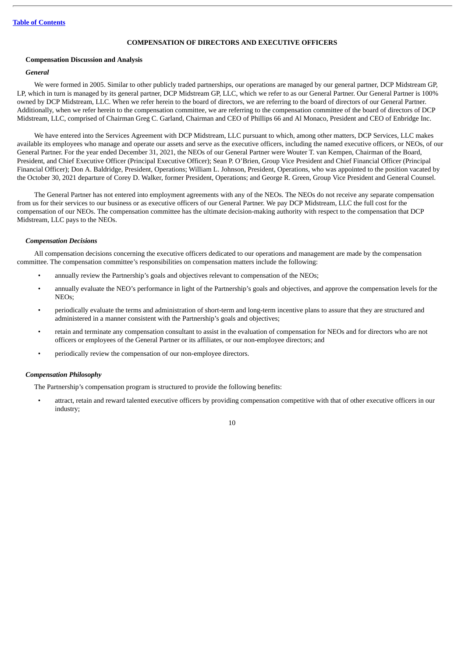# **COMPENSATION OF DIRECTORS AND EXECUTIVE OFFICERS**

#### <span id="page-12-0"></span>**Compensation Discussion and Analysis**

#### *General*

We were formed in 2005. Similar to other publicly traded partnerships, our operations are managed by our general partner, DCP Midstream GP, LP, which in turn is managed by its general partner, DCP Midstream GP, LLC, which we refer to as our General Partner. Our General Partner is 100% owned by DCP Midstream, LLC. When we refer herein to the board of directors, we are referring to the board of directors of our General Partner. Additionally, when we refer herein to the compensation committee, we are referring to the compensation committee of the board of directors of DCP Midstream, LLC, comprised of Chairman Greg C. Garland, Chairman and CEO of Phillips 66 and Al Monaco, President and CEO of Enbridge Inc.

We have entered into the Services Agreement with DCP Midstream, LLC pursuant to which, among other matters, DCP Services, LLC makes available its employees who manage and operate our assets and serve as the executive officers, including the named executive officers, or NEOs, of our General Partner. For the year ended December 31, 2021, the NEOs of our General Partner were Wouter T. van Kempen, Chairman of the Board, President, and Chief Executive Officer (Principal Executive Officer); Sean P. O'Brien, Group Vice President and Chief Financial Officer (Principal Financial Officer); Don A. Baldridge, President, Operations; William L. Johnson, President, Operations, who was appointed to the position vacated by the October 30, 2021 departure of Corey D. Walker, former President, Operations; and George R. Green, Group Vice President and General Counsel.

The General Partner has not entered into employment agreements with any of the NEOs. The NEOs do not receive any separate compensation from us for their services to our business or as executive officers of our General Partner. We pay DCP Midstream, LLC the full cost for the compensation of our NEOs. The compensation committee has the ultimate decision-making authority with respect to the compensation that DCP Midstream, LLC pays to the NEOs.

#### *Compensation Decisions*

All compensation decisions concerning the executive officers dedicated to our operations and management are made by the compensation committee. The compensation committee's responsibilities on compensation matters include the following:

- annually review the Partnership's goals and objectives relevant to compensation of the NEOs;
- annually evaluate the NEO's performance in light of the Partnership's goals and objectives, and approve the compensation levels for the  $N_{\rm EOS}$
- periodically evaluate the terms and administration of short-term and long-term incentive plans to assure that they are structured and administered in a manner consistent with the Partnership's goals and objectives;
- retain and terminate any compensation consultant to assist in the evaluation of compensation for NEOs and for directors who are not officers or employees of the General Partner or its affiliates, or our non-employee directors; and
- periodically review the compensation of our non-employee directors.

#### *Compensation Philosophy*

The Partnership's compensation program is structured to provide the following benefits:

• attract, retain and reward talented executive officers by providing compensation competitive with that of other executive officers in our industry;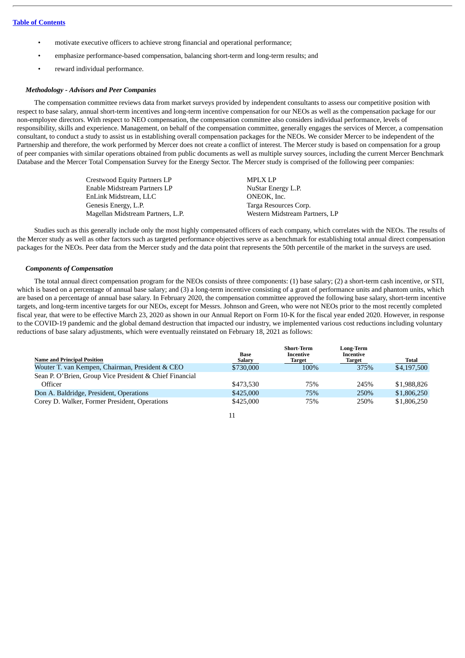- motivate executive officers to achieve strong financial and operational performance;
- emphasize performance-based compensation, balancing short-term and long-term results; and
- reward individual performance.

# *Methodology - Advisors and Peer Companies*

The compensation committee reviews data from market surveys provided by independent consultants to assess our competitive position with respect to base salary, annual short-term incentives and long-term incentive compensation for our NEOs as well as the compensation package for our non-employee directors. With respect to NEO compensation, the compensation committee also considers individual performance, levels of responsibility, skills and experience. Management, on behalf of the compensation committee, generally engages the services of Mercer, a compensation consultant, to conduct a study to assist us in establishing overall compensation packages for the NEOs. We consider Mercer to be independent of the Partnership and therefore, the work performed by Mercer does not create a conflict of interest. The Mercer study is based on compensation for a group of peer companies with similar operations obtained from public documents as well as multiple survey sources, including the current Mercer Benchmark Database and the Mercer Total Compensation Survey for the Energy Sector. The Mercer study is comprised of the following peer companies:

| <b>MPLX LP</b>                 |
|--------------------------------|
| NuStar Energy L.P.             |
| ONEOK, Inc.                    |
| Targa Resources Corp.          |
| Western Midstream Partners, LP |
|                                |

Studies such as this generally include only the most highly compensated officers of each company, which correlates with the NEOs. The results of the Mercer study as well as other factors such as targeted performance objectives serve as a benchmark for establishing total annual direct compensation packages for the NEOs. Peer data from the Mercer study and the data point that represents the 50th percentile of the market in the surveys are used.

# *Components of Compensation*

The total annual direct compensation program for the NEOs consists of three components: (1) base salary; (2) a short-term cash incentive, or STI, which is based on a percentage of annual base salary; and (3) a long-term incentive consisting of a grant of performance units and phantom units, which are based on a percentage of annual base salary. In February 2020, the compensation committee approved the following base salary, short-term incentive targets, and long-term incentive targets for our NEOs, except for Messrs. Johnson and Green, who were not NEOs prior to the most recently completed fiscal year, that were to be effective March 23, 2020 as shown in our Annual Report on Form 10-K for the fiscal year ended 2020. However, in response to the COVID-19 pandemic and the global demand destruction that impacted our industry, we implemented various cost reductions including voluntary reductions of base salary adjustments, which were eventually reinstated on February 18, 2021 as follows:

|                                                         | Base          | <b>Short-Term</b><br>Incentive | Long-Term<br>Incentive |              |
|---------------------------------------------------------|---------------|--------------------------------|------------------------|--------------|
| <b>Name and Principal Position</b>                      | <b>Salary</b> | Target                         | <b>Target</b>          | <b>Total</b> |
| Wouter T. van Kempen, Chairman, President & CEO         | \$730,000     | 100%                           | 375%                   | \$4,197,500  |
| Sean P. O'Brien, Group Vice President & Chief Financial |               |                                |                        |              |
| Officer                                                 | \$473.530     | 75%                            | 245%                   | \$1,988,826  |
| Don A. Baldridge, President, Operations                 | \$425,000     | 75%                            | 250%                   | \$1,806,250  |
| Corey D. Walker, Former President, Operations           | \$425,000     | 75%                            | 250%                   | \$1,806,250  |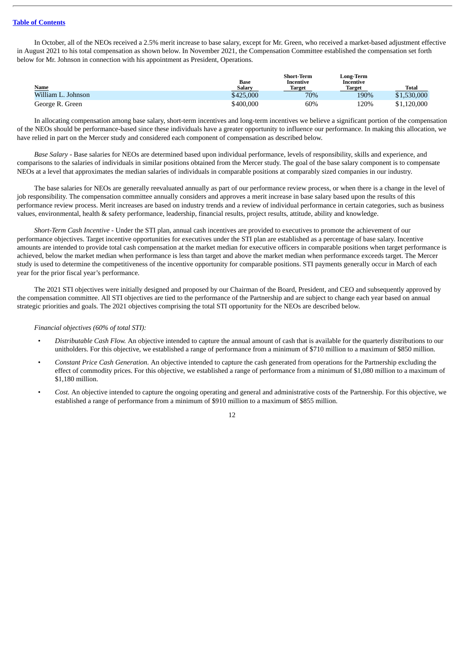In October, all of the NEOs received a 2.5% merit increase to base salary, except for Mr. Green, who received a market-based adjustment effective in August 2021 to his total compensation as shown below. In November 2021, the Compensation Committee established the compensation set forth below for Mr. Johnson in connection with his appointment as President, Operations.

|                    |               | <b>Short-Term</b> | Long-Term     |              |
|--------------------|---------------|-------------------|---------------|--------------|
|                    | Base          | Incentive         | Incentive     |              |
| <b>Name</b>        | <b>Salary</b> | <b>Target</b>     | <b>Target</b> | <b>Total</b> |
| William L. Johnson | \$425,000     | 70%               | 190%          | \$1,530,000  |
| George R. Green    | \$400.000     | 60%               | 120%          | \$1,120,000  |

In allocating compensation among base salary, short-term incentives and long-term incentives we believe a significant portion of the compensation of the NEOs should be performance-based since these individuals have a greater opportunity to influence our performance. In making this allocation, we have relied in part on the Mercer study and considered each component of compensation as described below.

*Base Salary* - Base salaries for NEOs are determined based upon individual performance, levels of responsibility, skills and experience, and comparisons to the salaries of individuals in similar positions obtained from the Mercer study. The goal of the base salary component is to compensate NEOs at a level that approximates the median salaries of individuals in comparable positions at comparably sized companies in our industry.

The base salaries for NEOs are generally reevaluated annually as part of our performance review process, or when there is a change in the level of job responsibility. The compensation committee annually considers and approves a merit increase in base salary based upon the results of this performance review process. Merit increases are based on industry trends and a review of individual performance in certain categories, such as business values, environmental, health & safety performance, leadership, financial results, project results, attitude, ability and knowledge.

*Short-Term Cash Incentive* - Under the STI plan, annual cash incentives are provided to executives to promote the achievement of our performance objectives. Target incentive opportunities for executives under the STI plan are established as a percentage of base salary. Incentive amounts are intended to provide total cash compensation at the market median for executive officers in comparable positions when target performance is achieved, below the market median when performance is less than target and above the market median when performance exceeds target. The Mercer study is used to determine the competitiveness of the incentive opportunity for comparable positions. STI payments generally occur in March of each year for the prior fiscal year's performance.

The 2021 STI objectives were initially designed and proposed by our Chairman of the Board, President, and CEO and subsequently approved by the compensation committee. All STI objectives are tied to the performance of the Partnership and are subject to change each year based on annual strategic priorities and goals. The 2021 objectives comprising the total STI opportunity for the NEOs are described below.

# *Financial objectives (60% of total STI):*

- *Distributable Cash Flow.* An objective intended to capture the annual amount of cash that is available for the quarterly distributions to our unitholders. For this objective, we established a range of performance from a minimum of \$710 million to a maximum of \$850 million.
- *Constant Price Cash Generation.* An objective intended to capture the cash generated from operations for the Partnership excluding the effect of commodity prices. For this objective, we established a range of performance from a minimum of \$1,080 million to a maximum of \$1,180 million.
- *Cost.* An objective intended to capture the ongoing operating and general and administrative costs of the Partnership. For this objective, we established a range of performance from a minimum of \$910 million to a maximum of \$855 million.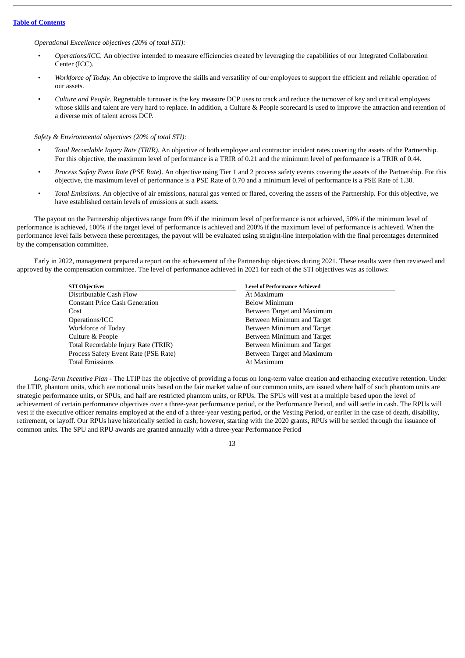# *Operational Excellence objectives (20% of total STI):*

- *Operations/ICC.* An objective intended to measure efficiencies created by leveraging the capabilities of our Integrated Collaboration Center (ICC).
- *Workforce of Today.* An objective to improve the skills and versatility of our employees to support the efficient and reliable operation of our assets.
- *Culture and People.* Regrettable turnover is the key measure DCP uses to track and reduce the turnover of key and critical employees whose skills and talent are very hard to replace. In addition, a Culture & People scorecard is used to improve the attraction and retention of a diverse mix of talent across DCP.

*Safety & Environmental objectives (20% of total STI):*

- *Total Recordable Injury Rate (TRIR).* An objective of both employee and contractor incident rates covering the assets of the Partnership. For this objective, the maximum level of performance is a TRIR of 0.21 and the minimum level of performance is a TRIR of 0.44.
- *Process Safety Event Rate (PSE Rate)*. An objective using Tier 1 and 2 process safety events covering the assets of the Partnership. For this objective, the maximum level of performance is a PSE Rate of 0.70 and a minimum level of performance is a PSE Rate of 1.30.
- *Total Emissions.* An objective of air emissions, natural gas vented or flared, covering the assets of the Partnership. For this objective, we have established certain levels of emissions at such assets.

The payout on the Partnership objectives range from 0% if the minimum level of performance is not achieved, 50% if the minimum level of performance is achieved, 100% if the target level of performance is achieved and 200% if the maximum level of performance is achieved. When the performance level falls between these percentages, the payout will be evaluated using straight-line interpolation with the final percentages determined by the compensation committee.

Early in 2022, management prepared a report on the achievement of the Partnership objectives during 2021. These results were then reviewed and approved by the compensation committee. The level of performance achieved in 2021 for each of the STI objectives was as follows:

| <b>STI Objectives</b>                 | <b>Level of Performance Achieved</b> |
|---------------------------------------|--------------------------------------|
| Distributable Cash Flow               | At Maximum                           |
| <b>Constant Price Cash Generation</b> | <b>Below Minimum</b>                 |
| Cost                                  | Between Target and Maximum           |
| Operations/ICC                        | Between Minimum and Target           |
| Workforce of Today                    | Between Minimum and Target           |
| Culture & People                      | Between Minimum and Target           |
| Total Recordable Injury Rate (TRIR)   | Between Minimum and Target           |
| Process Safety Event Rate (PSE Rate)  | Between Target and Maximum           |
| <b>Total Emissions</b>                | At Maximum                           |
|                                       |                                      |

*Long-Term Incentive Plan* - The LTIP has the objective of providing a focus on long-term value creation and enhancing executive retention. Under the LTIP, phantom units, which are notional units based on the fair market value of our common units, are issued where half of such phantom units are strategic performance units, or SPUs, and half are restricted phantom units, or RPUs. The SPUs will vest at a multiple based upon the level of achievement of certain performance objectives over a three-year performance period, or the Performance Period, and will settle in cash. The RPUs will vest if the executive officer remains employed at the end of a three-year vesting period, or the Vesting Period, or earlier in the case of death, disability, retirement, or layoff. Our RPUs have historically settled in cash; however, starting with the 2020 grants, RPUs will be settled through the issuance of common units. The SPU and RPU awards are granted annually with a three-year Performance Period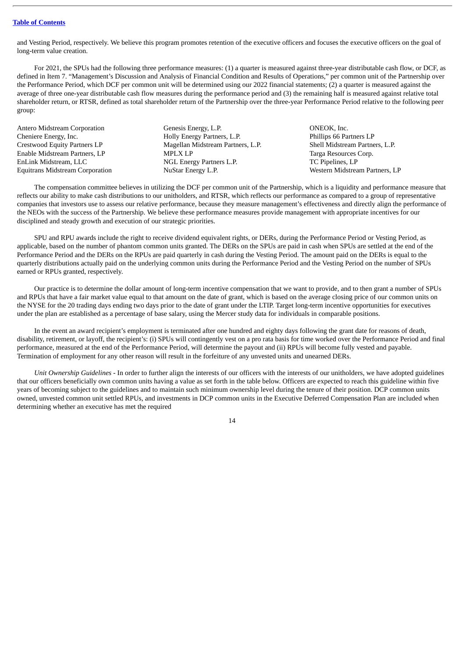and Vesting Period, respectively. We believe this program promotes retention of the executive officers and focuses the executive officers on the goal of long-term value creation.

For 2021, the SPUs had the following three performance measures: (1) a quarter is measured against three-year distributable cash flow, or DCF, as defined in Item 7. "Management's Discussion and Analysis of Financial Condition and Results of Operations," per common unit of the Partnership over the Performance Period, which DCF per common unit will be determined using our 2022 financial statements; (2) a quarter is measured against the average of three one-year distributable cash flow measures during the performance period and (3) the remaining half is measured against relative total shareholder return, or RTSR, defined as total shareholder return of the Partnership over the three-year Performance Period relative to the following peer group:

Antero Midstream Corporation Genesis Energy, L.P. Context of the CONEOK, Inc. Cheniere Energy, Inc. Holly Energy Partners, L.P. Phillips 66 Partners LP Crestwood Equity Partners LP Magellan Midstream Partners, L.P. Shell Midstream Partners, L.P. Enable Midstream Partners, LP **MPLX LP** MPLX LP Targa Resources Corp. EnLink Midstream, LLC NGL Energy Partners L.P. TC Pipelines, LP Equitrans Midstream Corporation NuStar Energy L.P. Western Midstream Partners, LP

The compensation committee believes in utilizing the DCF per common unit of the Partnership, which is a liquidity and performance measure that reflects our ability to make cash distributions to our unitholders, and RTSR, which reflects our performance as compared to a group of representative companies that investors use to assess our relative performance, because they measure management's effectiveness and directly align the performance of the NEOs with the success of the Partnership. We believe these performance measures provide management with appropriate incentives for our disciplined and steady growth and execution of our strategic priorities.

SPU and RPU awards include the right to receive dividend equivalent rights, or DERs, during the Performance Period or Vesting Period, as applicable, based on the number of phantom common units granted. The DERs on the SPUs are paid in cash when SPUs are settled at the end of the Performance Period and the DERs on the RPUs are paid quarterly in cash during the Vesting Period. The amount paid on the DERs is equal to the quarterly distributions actually paid on the underlying common units during the Performance Period and the Vesting Period on the number of SPUs earned or RPUs granted, respectively.

Our practice is to determine the dollar amount of long-term incentive compensation that we want to provide, and to then grant a number of SPUs and RPUs that have a fair market value equal to that amount on the date of grant, which is based on the average closing price of our common units on the NYSE for the 20 trading days ending two days prior to the date of grant under the LTIP. Target long-term incentive opportunities for executives under the plan are established as a percentage of base salary, using the Mercer study data for individuals in comparable positions.

In the event an award recipient's employment is terminated after one hundred and eighty days following the grant date for reasons of death, disability, retirement, or layoff, the recipient's: (i) SPUs will contingently vest on a pro rata basis for time worked over the Performance Period and final performance, measured at the end of the Performance Period, will determine the payout and (ii) RPUs will become fully vested and payable. Termination of employment for any other reason will result in the forfeiture of any unvested units and unearned DERs.

*Unit Ownership Guidelines* - In order to further align the interests of our officers with the interests of our unitholders, we have adopted guidelines that our officers beneficially own common units having a value as set forth in the table below. Officers are expected to reach this guideline within five years of becoming subject to the guidelines and to maintain such minimum ownership level during the tenure of their position. DCP common units owned, unvested common unit settled RPUs, and investments in DCP common units in the Executive Deferred Compensation Plan are included when determining whether an executive has met the required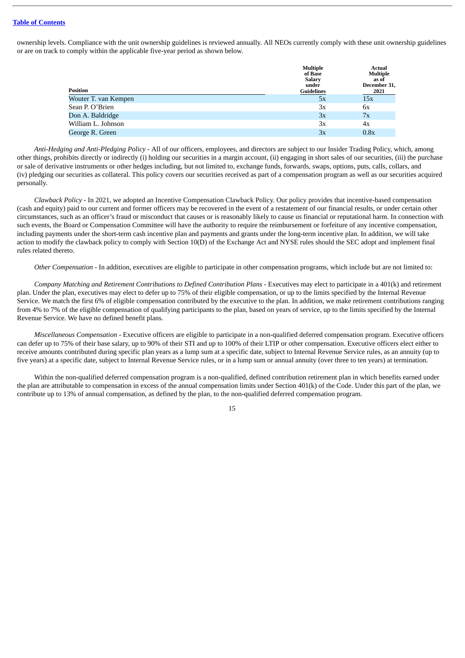ownership levels. Compliance with the unit ownership guidelines is reviewed annually. All NEOs currently comply with these unit ownership guidelines or are on track to comply within the applicable five-year period as shown below.

| Position             | <b>Multiple</b><br>of Base<br><b>Salary</b><br>under<br><b>Guidelines</b> | Actual<br><b>Multiple</b><br>as of<br>December 31,<br>2021 |
|----------------------|---------------------------------------------------------------------------|------------------------------------------------------------|
| Wouter T. van Kempen | 5x                                                                        | 15x                                                        |
| Sean P. O'Brien      | 3x                                                                        | 6x                                                         |
| Don A. Baldridge     | 3x                                                                        | 7x                                                         |
| William L. Johnson   | Зx                                                                        | 4x                                                         |
| George R. Green      | 3x                                                                        | 0.8x                                                       |
|                      |                                                                           |                                                            |

*Anti-Hedging and Anti-Pledging Policy* - All of our officers, employees, and directors are subject to our Insider Trading Policy, which, among other things, prohibits directly or indirectly (i) holding our securities in a margin account, (ii) engaging in short sales of our securities, (iii) the purchase or sale of derivative instruments or other hedges including, but not limited to, exchange funds, forwards, swaps, options, puts, calls, collars, and (iv) pledging our securities as collateral. This policy covers our securities received as part of a compensation program as well as our securities acquired personally.

*Clawback Policy* - In 2021, we adopted an Incentive Compensation Clawback Policy. Our policy provides that incentive-based compensation (cash and equity) paid to our current and former officers may be recovered in the event of a restatement of our financial results, or under certain other circumstances, such as an officer's fraud or misconduct that causes or is reasonably likely to cause us financial or reputational harm. In connection with such events, the Board or Compensation Committee will have the authority to require the reimbursement or forfeiture of any incentive compensation, including payments under the short-term cash incentive plan and payments and grants under the long-term incentive plan. In addition, we will take action to modify the clawback policy to comply with Section 10(D) of the Exchange Act and NYSE rules should the SEC adopt and implement final rules related thereto.

*Other Compensation* - In addition, executives are eligible to participate in other compensation programs, which include but are not limited to:

*Company Matching and Retirement Contributions to Defined Contribution Plans* - Executives may elect to participate in a 401(k) and retirement plan. Under the plan, executives may elect to defer up to 75% of their eligible compensation, or up to the limits specified by the Internal Revenue Service. We match the first 6% of eligible compensation contributed by the executive to the plan. In addition, we make retirement contributions ranging from 4% to 7% of the eligible compensation of qualifying participants to the plan, based on years of service, up to the limits specified by the Internal Revenue Service. We have no defined benefit plans.

*Miscellaneous Compensation* - Executive officers are eligible to participate in a non-qualified deferred compensation program. Executive officers can defer up to 75% of their base salary, up to 90% of their STI and up to 100% of their LTIP or other compensation. Executive officers elect either to receive amounts contributed during specific plan years as a lump sum at a specific date, subject to Internal Revenue Service rules, as an annuity (up to five years) at a specific date, subject to Internal Revenue Service rules, or in a lump sum or annual annuity (over three to ten years) at termination.

Within the non-qualified deferred compensation program is a non-qualified, defined contribution retirement plan in which benefits earned under the plan are attributable to compensation in excess of the annual compensation limits under Section 401(k) of the Code. Under this part of the plan, we contribute up to 13% of annual compensation, as defined by the plan, to the non-qualified deferred compensation program.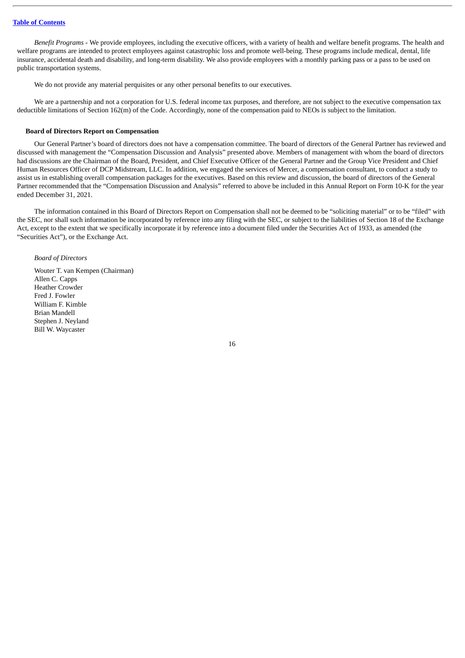*Benefit Programs* - We provide employees, including the executive officers, with a variety of health and welfare benefit programs. The health and welfare programs are intended to protect employees against catastrophic loss and promote well-being. These programs include medical, dental, life insurance, accidental death and disability, and long-term disability. We also provide employees with a monthly parking pass or a pass to be used on public transportation systems.

We do not provide any material perquisites or any other personal benefits to our executives.

We are a partnership and not a corporation for U.S. federal income tax purposes, and therefore, are not subject to the executive compensation tax deductible limitations of Section 162(m) of the Code. Accordingly, none of the compensation paid to NEOs is subject to the limitation.

# **Board of Directors Report on Compensation**

Our General Partner's board of directors does not have a compensation committee. The board of directors of the General Partner has reviewed and discussed with management the "Compensation Discussion and Analysis" presented above. Members of management with whom the board of directors had discussions are the Chairman of the Board, President, and Chief Executive Officer of the General Partner and the Group Vice President and Chief Human Resources Officer of DCP Midstream, LLC. In addition, we engaged the services of Mercer, a compensation consultant, to conduct a study to assist us in establishing overall compensation packages for the executives. Based on this review and discussion, the board of directors of the General Partner recommended that the "Compensation Discussion and Analysis" referred to above be included in this Annual Report on Form 10-K for the year ended December 31, 2021.

The information contained in this Board of Directors Report on Compensation shall not be deemed to be "soliciting material" or to be "filed" with the SEC, nor shall such information be incorporated by reference into any filing with the SEC, or subject to the liabilities of Section 18 of the Exchange Act, except to the extent that we specifically incorporate it by reference into a document filed under the Securities Act of 1933, as amended (the "Securities Act"), or the Exchange Act.

## *Board of Directors*

Wouter T. van Kempen (Chairman) Allen C. Capps Heather Crowder Fred J. Fowler William F. Kimble Brian Mandell Stephen J. Neyland Bill W. Waycaster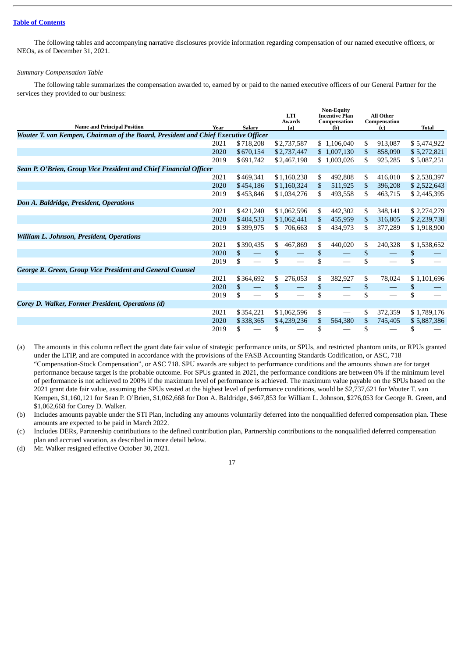The following tables and accompanying narrative disclosures provide information regarding compensation of our named executive officers, or NEOs, as of December 31, 2021.

#### *Summary Compensation Table*

The following table summarizes the compensation awarded to, earned by or paid to the named executive officers of our General Partner for the services they provided to our business:

| <b>Name and Principal Position</b>                                                 | Year | <b>Salary</b>                        | <b>LTI</b><br><b>Awards</b><br>(a) | <b>Non-Equity</b><br><b>Incentive Plan</b><br>Compensation<br>(b) | All Other<br>Compensation<br>(c) | <b>Total</b> |
|------------------------------------------------------------------------------------|------|--------------------------------------|------------------------------------|-------------------------------------------------------------------|----------------------------------|--------------|
| Wouter T. van Kempen, Chairman of the Board, President and Chief Executive Officer |      |                                      |                                    |                                                                   |                                  |              |
|                                                                                    | 2021 | \$718,208                            | \$2,737,587                        | \$1,106,040                                                       | \$<br>913.087                    | \$5,474,922  |
|                                                                                    | 2020 | \$670,154                            | \$2,737,447                        | \$1,007,130                                                       | 858,090<br>\$                    | \$5,272,821  |
|                                                                                    | 2019 | \$691,742                            | \$2,467,198                        | \$1,003,026                                                       | 925,285<br>\$.                   | \$5,087,251  |
| Sean P. O'Brien, Group Vice President and Chief Financial Officer                  |      |                                      |                                    |                                                                   |                                  |              |
|                                                                                    | 2021 | \$469,341                            | \$1,160,238                        | \$<br>492,808                                                     | 416,010<br>\$                    | \$2,538,397  |
|                                                                                    | 2020 | \$454,186                            | \$1,160,324                        | \$<br>511,925                                                     | 396,208<br>\$                    | \$2,522,643  |
|                                                                                    | 2019 | \$453,846                            | \$1,034,276                        | \$.<br>493,558                                                    | \$.<br>463,715                   | \$2,445,395  |
| Don A. Baldridge, President, Operations                                            |      |                                      |                                    |                                                                   |                                  |              |
|                                                                                    | 2021 | \$421,240                            | \$1,062,596                        | S.<br>442,302                                                     | 348,141<br>\$                    | \$2,274,279  |
|                                                                                    | 2020 | \$404,533                            | \$1,062,441                        | \$.<br>455,959                                                    | 316,805<br>\$                    | \$2,239,738  |
|                                                                                    | 2019 | \$399,975                            | 706,663<br>SS.                     | \$.<br>434,973                                                    | 377,289<br>\$.                   | \$1,918,900  |
| William L. Johnson, President, Operations                                          |      |                                      |                                    |                                                                   |                                  |              |
|                                                                                    | 2021 | \$390,435                            | 467,869<br>\$                      | \$<br>440,020                                                     | 240,328<br>\$                    | \$1,538,652  |
|                                                                                    | 2020 | \$                                   | \$                                 | \$                                                                | \$                               | \$           |
|                                                                                    | 2019 | \$                                   | \$                                 | S                                                                 | \$                               | \$           |
| <b>George R. Green, Group Vice President and General Counsel</b>                   |      |                                      |                                    |                                                                   |                                  |              |
|                                                                                    | 2021 | \$364,692                            | 276,053<br>\$                      | \$<br>382,927                                                     | \$<br>78,024                     | \$1,101,696  |
|                                                                                    | 2020 | \$<br>$\qquad \qquad \longleftarrow$ | \$                                 | \$                                                                | \$                               | \$           |
|                                                                                    | 2019 | \$                                   | \$                                 | \$                                                                | \$                               | \$           |
| Corey D. Walker, Former President, Operations (d)                                  |      |                                      |                                    |                                                                   |                                  |              |
|                                                                                    | 2021 | \$354,221                            | \$1,062,596                        | \$                                                                | 372,359<br>\$                    | \$1,789,176  |
|                                                                                    | 2020 | \$338,365                            | \$4,239,236                        | 564,380<br>\$.                                                    | \$<br>745,405                    | \$5,887,386  |
|                                                                                    | 2019 | S.                                   | S                                  | S                                                                 | S                                | S            |

(a) The amounts in this column reflect the grant date fair value of strategic performance units, or SPUs, and restricted phantom units, or RPUs granted under the LTIP, and are computed in accordance with the provisions of the FASB Accounting Standards Codification, or ASC, 718 "Compensation-Stock Compensation", or ASC 718. SPU awards are subject to performance conditions and the amounts shown are for target performance because target is the probable outcome. For SPUs granted in 2021, the performance conditions are between 0% if the minimum level of performance is not achieved to 200% if the maximum level of performance is achieved. The maximum value payable on the SPUs based on the 2021 grant date fair value, assuming the SPUs vested at the highest level of performance conditions, would be \$2,737,621 for Wouter T. van Kempen, \$1,160,121 for Sean P. O'Brien, \$1,062,668 for Don A. Baldridge, \$467,853 for William L. Johnson, \$276,053 for George R. Green, and \$1,062,668 for Corey D. Walker.

(b) Includes amounts payable under the STI Plan, including any amounts voluntarily deferred into the nonqualified deferred compensation plan. These amounts are expected to be paid in March 2022.

(c) Includes DERs, Partnership contributions to the defined contribution plan, Partnership contributions to the nonqualified deferred compensation plan and accrued vacation, as described in more detail below.

(d) Mr. Walker resigned effective October 30, 2021.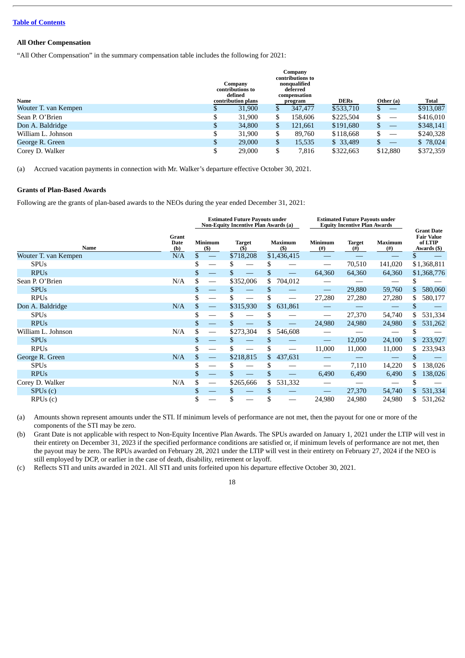# **All Other Compensation**

"All Other Compensation" in the summary compensation table includes the following for 2021:

|                      |    | Company<br>contributions to<br>defined |     | Company<br>contributions to<br>nonqualified<br>deferred<br>compensation |             |                                                 |           |
|----------------------|----|----------------------------------------|-----|-------------------------------------------------------------------------|-------------|-------------------------------------------------|-----------|
| Name                 |    | contribution plans                     |     | program                                                                 | <b>DERs</b> | Other (a)                                       | Total     |
| Wouter T. van Kempen | J  | 31,900                                 |     | 347,477                                                                 | \$533,710   | $\mathbb{S}$<br>$\hspace{0.1mm}-\hspace{0.1mm}$ | \$913,087 |
| Sean P. O'Brien      | \$ | 31,900                                 | \$  | 158,606                                                                 | \$225,504   | $\hspace{0.05cm}$                               | \$416,010 |
| Don A. Baldridge     | \$ | 34,800                                 | \$. | 121,661                                                                 | \$191,680   | \$<br>$\hspace{0.1mm}-\hspace{0.1mm}$           | \$348,141 |
| William L. Johnson   | J  | 31,900                                 | \$  | 89.760                                                                  | \$118,668   | \$<br>$\hspace{0.1mm}-\hspace{0.1mm}$           | \$240,328 |
| George R. Green      | \$ | 29,000                                 | \$  | 15,535                                                                  | \$33,489    | $\hspace{0.05cm}$                               | \$78,024  |
| Corey D. Walker      | \$ | 29,000                                 | \$  | 7,816                                                                   | \$322,663   | \$12,880                                        | \$372,359 |

(a) Accrued vacation payments in connection with Mr. Walker's departure effective October 30, 2021.

#### **Grants of Plan-Based Awards**

Following are the grants of plan-based awards to the NEOs during the year ended December 31, 2021:

|                      |                             | <b>Estimated Future Payouts under</b><br><b>Non-Equity Incentive Plan Awards (a)</b> |                                 |    |                      |    |                         | <b>Estimated Future Payouts under</b><br><b>Equity Incentive Plan Awards</b> |                      | <b>Grant Date</b>     |     |                                             |
|----------------------|-----------------------------|--------------------------------------------------------------------------------------|---------------------------------|----|----------------------|----|-------------------------|------------------------------------------------------------------------------|----------------------|-----------------------|-----|---------------------------------------------|
| Name                 | <b>Grant</b><br>Date<br>(b) |                                                                                      | <b>Minimum</b><br>$($)$         |    | <b>Target</b><br>(5) |    | <b>Maximum</b><br>$($)$ | <b>Minimum</b><br>$^{(#)}$                                                   | <b>Target</b><br>(#) | <b>Maximum</b><br>(#) |     | <b>Fair Value</b><br>of LTIP<br>Awards (\$) |
| Wouter T. van Kempen | N/A                         | \$                                                                                   |                                 |    | \$718,208            |    | \$1,436,415             |                                                                              |                      |                       | \$  |                                             |
| <b>SPUs</b>          |                             | \$                                                                                   |                                 | S  |                      | S  |                         |                                                                              | 70,510               | 141,020               |     | \$1,368,811                                 |
| <b>RPUs</b>          |                             | \$                                                                                   |                                 |    |                      | \$ | $\qquad \qquad -$       | 64,360                                                                       | 64,360               | 64,360                |     | \$1,368,776                                 |
| Sean P. O'Brien      | N/A                         | \$                                                                                   |                                 |    | \$352,006            | \$ | 704,012                 |                                                                              |                      |                       |     |                                             |
| <b>SPUs</b>          |                             | \$                                                                                   |                                 | S. |                      | \$ |                         |                                                                              | 29,880               | 59,760                | \$. | 580,060                                     |
| <b>RPUs</b>          |                             | \$                                                                                   |                                 |    |                      | \$ | $\hspace{0.05cm}$       | 27,280                                                                       | 27,280               | 27,280                | \$. | 580,177                                     |
| Don A. Baldridge     | N/A                         | \$                                                                                   | $\hspace{0.1mm}-\hspace{0.1mm}$ |    | \$315,930            | \$ | 631,861                 |                                                                              |                      |                       | S   |                                             |
| <b>SPUs</b>          |                             | \$                                                                                   |                                 |    |                      | \$ |                         |                                                                              | 27,370               | 54,740                | \$. | 531,334                                     |
| <b>RPUs</b>          |                             | \$                                                                                   |                                 |    |                      | \$ |                         | 24,980                                                                       | 24,980               | 24,980                | \$. | 531,262                                     |
| William L. Johnson   | N/A                         | \$                                                                                   |                                 |    | \$273,304            | \$ | 546,608                 |                                                                              |                      |                       |     |                                             |
| <b>SPUs</b>          |                             | \$                                                                                   |                                 | S. |                      | \$ |                         |                                                                              | 12,050               | 24,100                | S.  | 233,927                                     |
| <b>RPUs</b>          |                             | \$                                                                                   |                                 |    |                      | \$ |                         | 11,000                                                                       | 11,000               | 11,000                | \$. | 233,943                                     |
| George R. Green      | N/A                         | \$                                                                                   | $\hspace{0.1mm}-\hspace{0.1mm}$ |    | \$218,815            | \$ | 437,631                 |                                                                              |                      | $\hspace{0.05cm}$     |     |                                             |
| <b>SPUs</b>          |                             | \$                                                                                   |                                 |    |                      | \$ |                         |                                                                              | 7,110                | 14,220                | \$  | 138,026                                     |
| <b>RPUs</b>          |                             | \$                                                                                   | $\overline{\phantom{0}}$        |    |                      | \$ |                         | 6,490                                                                        | 6,490                | 6,490                 | \$. | 138,026                                     |
| Corey D. Walker      | N/A                         | \$                                                                                   | $\overbrace{\phantom{aaaaa}}$   |    | \$265,666            | \$ | 531,332                 |                                                                              |                      |                       | S   |                                             |
| SPUs(c)              |                             | \$                                                                                   |                                 | \$ |                      | \$ |                         |                                                                              | 27,370               | 54,740                | S.  | 531,334                                     |
| RPUs(c)              |                             | S                                                                                    |                                 |    |                      | \$ |                         | 24,980                                                                       | 24,980               | 24,980                | \$. | 531,262                                     |

(a) Amounts shown represent amounts under the STI. If minimum levels of performance are not met, then the payout for one or more of the components of the STI may be zero.

(b) Grant Date is not applicable with respect to Non-Equity Incentive Plan Awards. The SPUs awarded on January 1, 2021 under the LTIP will vest in their entirety on December 31, 2023 if the specified performance conditions are satisfied or, if minimum levels of performance are not met, then the payout may be zero. The RPUs awarded on February 28, 2021 under the LTIP will vest in their entirety on February 27, 2024 if the NEO is still employed by DCP, or earlier in the case of death, disability, retirement or layoff.

(c) Reflects STI and units awarded in 2021. All STI and units forfeited upon his departure effective October 30, 2021.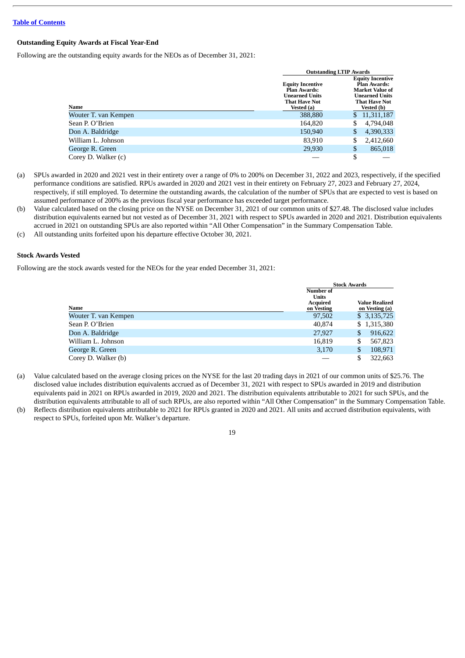# **Outstanding Equity Awards at Fiscal Year-End**

Following are the outstanding equity awards for the NEOs as of December 31, 2021:

|                      | <b>Outstanding LTIP Awards</b>                                                                                |    |                                                                                                                                                |  |  |  |  |
|----------------------|---------------------------------------------------------------------------------------------------------------|----|------------------------------------------------------------------------------------------------------------------------------------------------|--|--|--|--|
| Name                 | <b>Equity Incentive</b><br><b>Plan Awards:</b><br><b>Unearned Units</b><br><b>That Have Not</b><br>Vested (a) |    | <b>Equity Incentive</b><br><b>Plan Awards:</b><br><b>Market Value of</b><br><b>Unearned Units</b><br><b>That Have Not</b><br><b>Vested (b)</b> |  |  |  |  |
| Wouter T. van Kempen | 388,880                                                                                                       | S. | 11,311,187                                                                                                                                     |  |  |  |  |
| Sean P. O'Brien      | 164,820                                                                                                       |    | 4,794,048                                                                                                                                      |  |  |  |  |
| Don A. Baldridge     | 150,940                                                                                                       |    | 4,390,333                                                                                                                                      |  |  |  |  |
| William L. Johnson   | 83,910                                                                                                        |    | 2,412,660                                                                                                                                      |  |  |  |  |
| George R. Green      | 29,930                                                                                                        | S  | 865,018                                                                                                                                        |  |  |  |  |
| Corey D. Walker (c)  |                                                                                                               |    |                                                                                                                                                |  |  |  |  |

- (a) SPUs awarded in 2020 and 2021 vest in their entirety over a range of 0% to 200% on December 31, 2022 and 2023, respectively, if the specified performance conditions are satisfied. RPUs awarded in 2020 and 2021 vest in their entirety on February 27, 2023 and February 27, 2024, respectively, if still employed. To determine the outstanding awards, the calculation of the number of SPUs that are expected to vest is based on assumed performance of 200% as the previous fiscal year performance has exceeded target performance.
- (b) Value calculated based on the closing price on the NYSE on December 31, 2021 of our common units of \$27.48. The disclosed value includes distribution equivalents earned but not vested as of December 31, 2021 with respect to SPUs awarded in 2020 and 2021. Distribution equivalents accrued in 2021 on outstanding SPUs are also reported within "All Other Compensation" in the Summary Compensation Table.
- (c) All outstanding units forfeited upon his departure effective October 30, 2021.

# **Stock Awards Vested**

Following are the stock awards vested for the NEOs for the year ended December 31, 2021:

|                      |                                                                   | <b>Stock Awards</b>              |  |  |  |  |
|----------------------|-------------------------------------------------------------------|----------------------------------|--|--|--|--|
| Name                 | <b>Number of</b><br><b>Units</b><br><b>Acquired</b><br>on Vesting | Value Realized<br>on Vesting (a) |  |  |  |  |
| Wouter T. van Kempen | 97,502                                                            | \$3,135,725                      |  |  |  |  |
| Sean P. O'Brien      | 40.874                                                            | \$1,315,380                      |  |  |  |  |
| Don A. Baldridge     | 27,927                                                            | 916,622<br>\$                    |  |  |  |  |
| William L. Johnson   | 16,819                                                            | \$<br>567,823                    |  |  |  |  |
| George R. Green      | 3,170                                                             | \$<br>108,971                    |  |  |  |  |
| Corey D. Walker (b)  |                                                                   | \$<br>322,663                    |  |  |  |  |

- (a) Value calculated based on the average closing prices on the NYSE for the last 20 trading days in 2021 of our common units of \$25.76. The disclosed value includes distribution equivalents accrued as of December 31, 2021 with respect to SPUs awarded in 2019 and distribution equivalents paid in 2021 on RPUs awarded in 2019, 2020 and 2021. The distribution equivalents attributable to 2021 for such SPUs, and the distribution equivalents attributable to all of such RPUs, are also reported within "All Other Compensation" in the Summary Compensation Table.
- (b) Reflects distribution equivalents attributable to 2021 for RPUs granted in 2020 and 2021. All units and accrued distribution equivalents, with respect to SPUs, forfeited upon Mr. Walker's departure.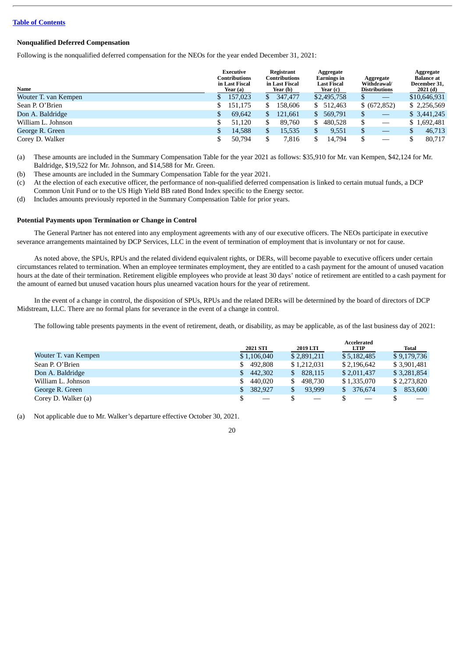# **Nonqualified Deferred Compensation**

Following is the nonqualified deferred compensation for the NEOs for the year ended December 31, 2021:

| Name                 |    | Executive<br>Contributions<br>in Last Fiscal<br>Year (a) | Registrant<br>Contributions<br>in Last Fiscal<br>Year (b) |    | Aggregate<br>Earnings in<br>Last Fiscal<br>Year (c) | Aggregate<br>Withdrawal/<br><b>Distributions</b> | Aggregate<br><b>Balance</b> at<br>December 31,<br>2021 (d) |
|----------------------|----|----------------------------------------------------------|-----------------------------------------------------------|----|-----------------------------------------------------|--------------------------------------------------|------------------------------------------------------------|
| Wouter T. van Kempen |    | 157,023                                                  | 347,477                                                   |    | \$2,495,758                                         | \$                                               | \$10,646,931                                               |
| Sean P. O'Brien      |    | 151,175                                                  | 158,606                                                   | \$ | 512,463                                             | \$ (672, 852)                                    | \$2,256,569                                                |
| Don A. Baldridge     | S. | 69,642                                                   | 121,661                                                   | S. | 569,791                                             | \$                                               | \$3,441,245                                                |
| William L. Johnson   |    | 51,120                                                   | 89,760                                                    | \$ | 480.528                                             | \$                                               | \$1,692,481                                                |
| George R. Green      |    | 14,588                                                   | 15,535                                                    | \$ | 9,551                                               | \$                                               | 46,713                                                     |
| Corey D. Walker      |    | 50,794                                                   | 7,816                                                     |    | 14,794                                              | \$                                               | 80,717                                                     |

<sup>(</sup>a) These amounts are included in the Summary Compensation Table for the year 2021 as follows: \$35,910 for Mr. van Kempen, \$42,124 for Mr. Baldridge, \$19,522 for Mr. Johnson, and \$14,588 for Mr. Green.

- (b) These amounts are included in the Summary Compensation Table for the year 2021.
- (c) At the election of each executive officer, the performance of non-qualified deferred compensation is linked to certain mutual funds, a DCP Common Unit Fund or to the US High Yield BB rated Bond Index specific to the Energy sector.
- (d) Includes amounts previously reported in the Summary Compensation Table for prior years.

# **Potential Payments upon Termination or Change in Control**

The General Partner has not entered into any employment agreements with any of our executive officers. The NEOs participate in executive severance arrangements maintained by DCP Services, LLC in the event of termination of employment that is involuntary or not for cause.

As noted above, the SPUs, RPUs and the related dividend equivalent rights, or DERs, will become payable to executive officers under certain circumstances related to termination. When an employee terminates employment, they are entitled to a cash payment for the amount of unused vacation hours at the date of their termination. Retirement eligible employees who provide at least 30 days' notice of retirement are entitled to a cash payment for the amount of earned but unused vacation hours plus unearned vacation hours for the year of retirement.

In the event of a change in control, the disposition of SPUs, RPUs and the related DERs will be determined by the board of directors of DCP Midstream, LLC. There are no formal plans for severance in the event of a change in control.

The following table presents payments in the event of retirement, death, or disability, as may be applicable, as of the last business day of 2021:

|                      | 2021 STI                 | 2019 LTI          | <b>Accelerated</b> |               |
|----------------------|--------------------------|-------------------|--------------------|---------------|
|                      |                          |                   | <b>LTIP</b>        | <b>Total</b>  |
| Wouter T. van Kempen | \$1,106,040              | \$2,891,211       | \$5,182,485        | \$9,179,736   |
| Sean P. O'Brien      | 492.808<br>S.            | \$1,212,031       | \$2,196,642        | \$3,901,481   |
| Don A. Baldridge     | 442,302<br>S.            | 828,115<br>S.     | \$2,011,437        | \$3,281,854   |
| William L. Johnson   | 440.020<br>\$            | 498.730<br>S.     | \$1,335,070        | \$2,273,820   |
| George R. Green      | 382,927                  | 93.999            | 376,674<br>S.      | 853,600<br>\$ |
| Corey D. Walker (a)  | $\overline{\phantom{m}}$ | $\hspace{0.05cm}$ | $\hspace{0.05cm}$  |               |

(a) Not applicable due to Mr. Walker's departure effective October 30, 2021.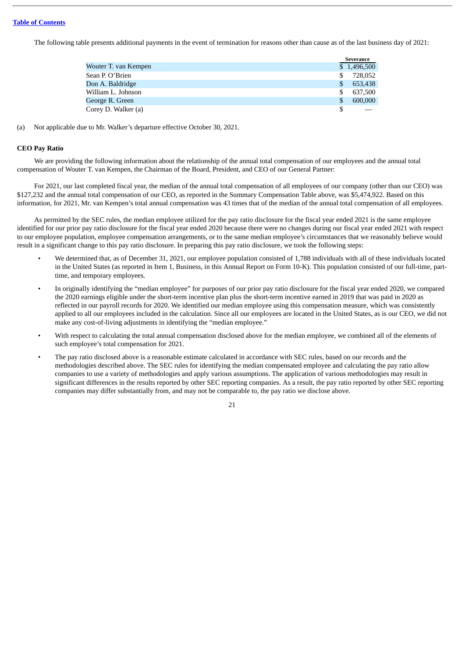The following table presents additional payments in the event of termination for reasons other than cause as of the last business day of 2021:

|                      | <b>Severance</b> |             |  |
|----------------------|------------------|-------------|--|
| Wouter T. van Kempen |                  | \$1,496,500 |  |
| Sean P. O'Brien      | S.               | 728.052     |  |
| Don A. Baldridge     | \$.              | 653,438     |  |
| William L. Johnson   | \$.              | 637,500     |  |
| George R. Green      | \$.              | 600,000     |  |
| Corey D. Walker (a)  |                  |             |  |

(a) Not applicable due to Mr. Walker's departure effective October 30, 2021.

# **CEO Pay Ratio**

We are providing the following information about the relationship of the annual total compensation of our employees and the annual total compensation of Wouter T. van Kempen, the Chairman of the Board, President, and CEO of our General Partner:

For 2021, our last completed fiscal year, the median of the annual total compensation of all employees of our company (other than our CEO) was \$127,232 and the annual total compensation of our CEO, as reported in the Summary Compensation Table above, was \$5,474,922. Based on this information, for 2021, Mr. van Kempen's total annual compensation was 43 times that of the median of the annual total compensation of all employees.

As permitted by the SEC rules, the median employee utilized for the pay ratio disclosure for the fiscal year ended 2021 is the same employee identified for our prior pay ratio disclosure for the fiscal year ended 2020 because there were no changes during our fiscal year ended 2021 with respect to our employee population, employee compensation arrangements, or to the same median employee's circumstances that we reasonably believe would result in a significant change to this pay ratio disclosure. In preparing this pay ratio disclosure, we took the following steps:

- We determined that, as of December 31, 2021, our employee population consisted of 1,788 individuals with all of these individuals located in the United States (as reported in Item 1, Business, in this Annual Report on Form 10-K). This population consisted of our full-time, parttime, and temporary employees.
- In originally identifying the "median employee" for purposes of our prior pay ratio disclosure for the fiscal year ended 2020, we compared the 2020 earnings eligible under the short-term incentive plan plus the short-term incentive earned in 2019 that was paid in 2020 as reflected in our payroll records for 2020. We identified our median employee using this compensation measure, which was consistently applied to all our employees included in the calculation. Since all our employees are located in the United States, as is our CEO, we did not make any cost-of-living adjustments in identifying the "median employee."
- With respect to calculating the total annual compensation disclosed above for the median employee, we combined all of the elements of such employee's total compensation for 2021.
- The pay ratio disclosed above is a reasonable estimate calculated in accordance with SEC rules, based on our records and the methodologies described above. The SEC rules for identifying the median compensated employee and calculating the pay ratio allow companies to use a variety of methodologies and apply various assumptions. The application of various methodologies may result in significant differences in the results reported by other SEC reporting companies. As a result, the pay ratio reported by other SEC reporting companies may differ substantially from, and may not be comparable to, the pay ratio we disclose above.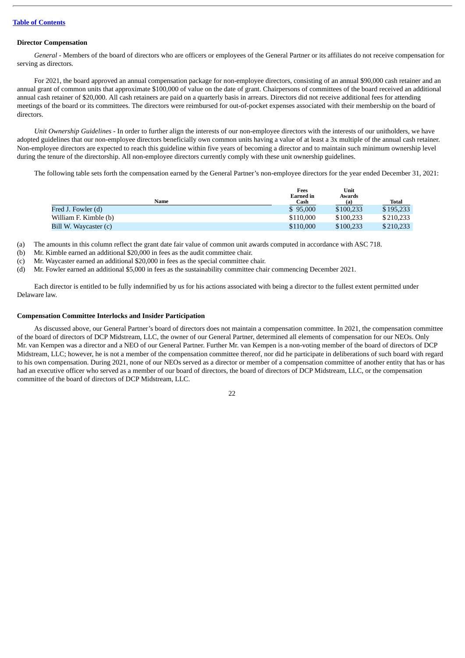#### **Director Compensation**

*General* - Members of the board of directors who are officers or employees of the General Partner or its affiliates do not receive compensation for serving as directors*.*

For 2021, the board approved an annual compensation package for non-employee directors, consisting of an annual \$90,000 cash retainer and an annual grant of common units that approximate \$100,000 of value on the date of grant. Chairpersons of committees of the board received an additional annual cash retainer of \$20,000. All cash retainers are paid on a quarterly basis in arrears. Directors did not receive additional fees for attending meetings of the board or its committees. The directors were reimbursed for out-of-pocket expenses associated with their membership on the board of directors.

*Unit Ownership Guidelines* - In order to further align the interests of our non-employee directors with the interests of our unitholders, we have adopted guidelines that our non-employee directors beneficially own common units having a value of at least a 3x multiple of the annual cash retainer. Non-employee directors are expected to reach this guideline within five years of becoming a director and to maintain such minimum ownership level during the tenure of the directorship. All non-employee directors currently comply with these unit ownership guidelines.

The following table sets forth the compensation earned by the General Partner's non-employee directors for the year ended December 31, 2021:

|                       | Fees<br><b>Earned</b> in | Unit<br>Awards |           |
|-----------------------|--------------------------|----------------|-----------|
| Name                  | Cash                     | (a)            | Total     |
| Fred J. Fowler (d)    | \$95,000                 | \$100.233      | \$195.233 |
| William F. Kimble (b) | \$110,000                | \$100.233      | \$210.233 |
| Bill W. Waycaster (c) | \$110,000                | \$100,233      | \$210.233 |

(a) The amounts in this column reflect the grant date fair value of common unit awards computed in accordance with ASC 718.

(b) Mr. Kimble earned an additional \$20,000 in fees as the audit committee chair.

(c) Mr. Waycaster earned an additional \$20,000 in fees as the special committee chair.

(d) Mr. Fowler earned an additional \$5,000 in fees as the sustainability committee chair commencing December 2021.

Each director is entitled to be fully indemnified by us for his actions associated with being a director to the fullest extent permitted under Delaware law.

#### **Compensation Committee Interlocks and Insider Participation**

As discussed above, our General Partner's board of directors does not maintain a compensation committee. In 2021, the compensation committee of the board of directors of DCP Midstream, LLC, the owner of our General Partner, determined all elements of compensation for our NEOs. Only Mr. van Kempen was a director and a NEO of our General Partner. Further Mr. van Kempen is a non-voting member of the board of directors of DCP Midstream, LLC; however, he is not a member of the compensation committee thereof, nor did he participate in deliberations of such board with regard to his own compensation. During 2021, none of our NEOs served as a director or member of a compensation committee of another entity that has or has had an executive officer who served as a member of our board of directors, the board of directors of DCP Midstream, LLC, or the compensation committee of the board of directors of DCP Midstream, LLC.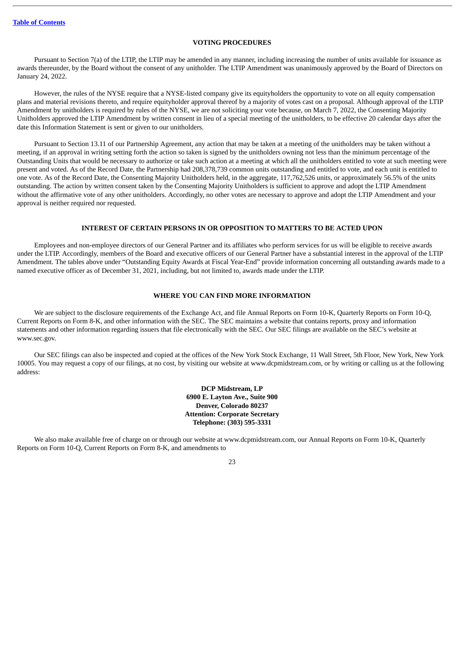# **VOTING PROCEDURES**

<span id="page-25-0"></span>Pursuant to Section 7(a) of the LTIP, the LTIP may be amended in any manner, including increasing the number of units available for issuance as awards thereunder, by the Board without the consent of any unitholder. The LTIP Amendment was unanimously approved by the Board of Directors on January 24, 2022.

However, the rules of the NYSE require that a NYSE-listed company give its equityholders the opportunity to vote on all equity compensation plans and material revisions thereto, and require equityholder approval thereof by a majority of votes cast on a proposal. Although approval of the LTIP Amendment by unitholders is required by rules of the NYSE, we are not soliciting your vote because, on March 7, 2022, the Consenting Majority Unitholders approved the LTIP Amendment by written consent in lieu of a special meeting of the unitholders, to be effective 20 calendar days after the date this Information Statement is sent or given to our unitholders.

Pursuant to Section 13.11 of our Partnership Agreement, any action that may be taken at a meeting of the unitholders may be taken without a meeting, if an approval in writing setting forth the action so taken is signed by the unitholders owning not less than the minimum percentage of the Outstanding Units that would be necessary to authorize or take such action at a meeting at which all the unitholders entitled to vote at such meeting were present and voted. As of the Record Date, the Partnership had 208,378,739 common units outstanding and entitled to vote, and each unit is entitled to one vote. As of the Record Date, the Consenting Majority Unitholders held, in the aggregate, 117,762,526 units, or approximately 56.5% of the units outstanding. The action by written consent taken by the Consenting Majority Unitholders is sufficient to approve and adopt the LTIP Amendment without the affirmative vote of any other unitholders. Accordingly, no other votes are necessary to approve and adopt the LTIP Amendment and your approval is neither required nor requested.

# **INTEREST OF CERTAIN PERSONS IN OR OPPOSITION TO MATTERS TO BE ACTED UPON**

<span id="page-25-1"></span>Employees and non-employee directors of our General Partner and its affiliates who perform services for us will be eligible to receive awards under the LTIP. Accordingly, members of the Board and executive officers of our General Partner have a substantial interest in the approval of the LTIP Amendment. The tables above under "Outstanding Equity Awards at Fiscal Year-End" provide information concerning all outstanding awards made to a named executive officer as of December 31, 2021, including, but not limited to, awards made under the LTIP.

### **WHERE YOU CAN FIND MORE INFORMATION**

<span id="page-25-2"></span>We are subject to the disclosure requirements of the Exchange Act, and file Annual Reports on Form 10-K, Quarterly Reports on Form 10-Q, Current Reports on Form 8-K, and other information with the SEC. The SEC maintains a website that contains reports, proxy and information statements and other information regarding issuers that file electronically with the SEC. Our SEC filings are available on the SEC's website at www.sec.gov.

Our SEC filings can also be inspected and copied at the offices of the New York Stock Exchange, 11 Wall Street, 5th Floor, New York, New York 10005. You may request a copy of our filings, at no cost, by visiting our website at www.dcpmidstream.com, or by writing or calling us at the following address:

# **DCP Midstream, LP 6900 E. Layton Ave., Suite 900 Denver, Colorado 80237 Attention: Corporate Secretary Telephone: (303) 595-3331**

We also make available free of charge on or through our website at www.dcpmidstream.com, our Annual Reports on Form 10-K, Quarterly Reports on Form 10-Q, Current Reports on Form 8-K, and amendments to

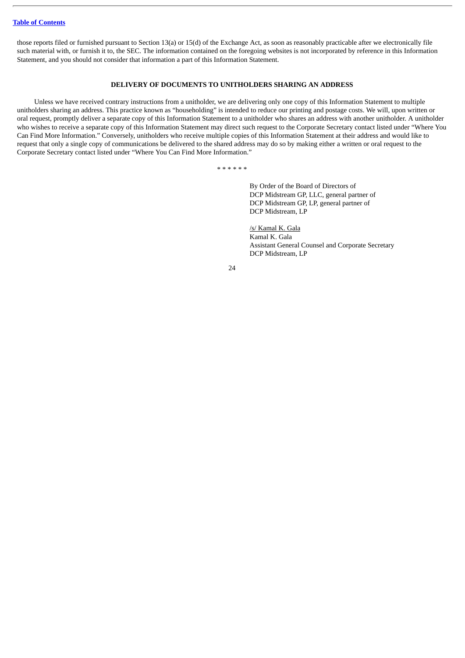those reports filed or furnished pursuant to Section 13(a) or 15(d) of the Exchange Act, as soon as reasonably practicable after we electronically file such material with, or furnish it to, the SEC. The information contained on the foregoing websites is not incorporated by reference in this Information Statement, and you should not consider that information a part of this Information Statement.

# **DELIVERY OF DOCUMENTS TO UNITHOLDERS SHARING AN ADDRESS**

<span id="page-26-0"></span>Unless we have received contrary instructions from a unitholder, we are delivering only one copy of this Information Statement to multiple unitholders sharing an address. This practice known as "householding" is intended to reduce our printing and postage costs. We will, upon written or oral request, promptly deliver a separate copy of this Information Statement to a unitholder who shares an address with another unitholder. A unitholder who wishes to receive a separate copy of this Information Statement may direct such request to the Corporate Secretary contact listed under "Where You Can Find More Information." Conversely, unitholders who receive multiple copies of this Information Statement at their address and would like to request that only a single copy of communications be delivered to the shared address may do so by making either a written or oral request to the Corporate Secretary contact listed under "Where You Can Find More Information."

\* \* \* \* \* \*

By Order of the Board of Directors of DCP Midstream GP, LLC, general partner of DCP Midstream GP, LP, general partner of DCP Midstream, LP

/s/ Kamal K. Gala Kamal K. Gala Assistant General Counsel and Corporate Secretary DCP Midstream, LP